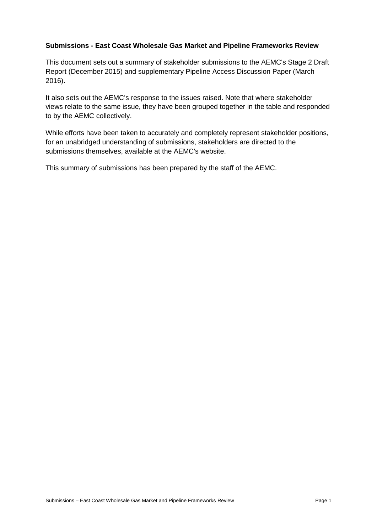#### **Submissions - East Coast Wholesale Gas Market and Pipeline Frameworks Review**

This document sets out a summary of stakeholder submissions to the AEMC's Stage 2 Draft Report (December 2015) and supplementary Pipeline Access Discussion Paper (March 2016).

It also sets out the AEMC's response to the issues raised. Note that where stakeholder views relate to the same issue, they have been grouped together in the table and responded to by the AEMC collectively.

While efforts have been taken to accurately and completely represent stakeholder positions, for an unabridged understanding of submissions, stakeholders are directed to the submissions themselves, available at the AEMC's website.

This summary of submissions has been prepared by the staff of the AEMC.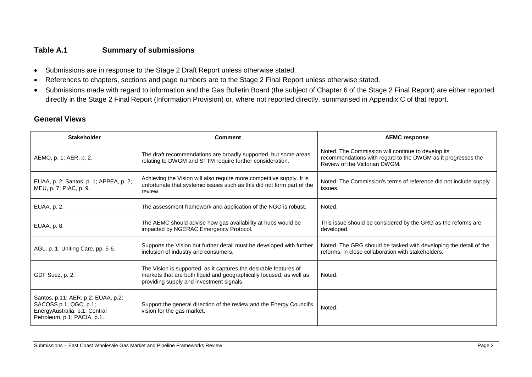### **Table A.1 Summary of submissions**

- Submissions are in response to the Stage 2 Draft Report unless otherwise stated.
- References to chapters, sections and page numbers are to the Stage 2 Final Report unless otherwise stated.
- Submissions made with regard to information and the Gas Bulletin Board (the subject of Chapter 6 of the Stage 2 Final Report) are either reported directly in the Stage 2 Final Report (Information Provision) or, where not reported directly, summarised in Appendix C of that report.

### **General Views**

| <b>Stakeholder</b>                                                                                                          | <b>Comment</b>                                                                                                                                                                       | <b>AEMC response</b>                                                                                                                                |
|-----------------------------------------------------------------------------------------------------------------------------|--------------------------------------------------------------------------------------------------------------------------------------------------------------------------------------|-----------------------------------------------------------------------------------------------------------------------------------------------------|
| AEMO, p. 1; AER, p. 2.                                                                                                      | The draft recommendations are broadly supported, but some areas<br>relating to DWGM and STTM require further consideration.                                                          | Noted. The Commission will continue to develop its<br>recommendations with regard to the DWGM as it progresses the<br>Review of the Victorian DWGM. |
| EUAA, p. 2; Santos, p. 1; APPEA, p. 2;<br>MEU, p. 7; PIAC, p. 9.                                                            | Achieving the Vision will also require more competitive supply. It is<br>unfortunate that systemic issues such as this did not form part of the<br>review.                           | Noted. The Commission's terms of reference did not include supply<br>issues.                                                                        |
| EUAA, p. 2.                                                                                                                 | The assessment framework and application of the NGO is robust.                                                                                                                       | Noted.                                                                                                                                              |
| EUAA, p. 8.                                                                                                                 | The AEMC should advise how gas availability at hubs would be<br>impacted by NGERAC Emergency Protocol.                                                                               | This issue should be considered by the GRG as the reforms are<br>developed.                                                                         |
| AGL, p. 1; Uniting Care, pp. 5-6.                                                                                           | Supports the Vision but further detail must be developed with further<br>inclusion of industry and consumers.                                                                        | Noted. The GRG should be tasked with developing the detail of the<br>reforms, in close collaboration with stakeholders.                             |
| GDF Suez, p. 2.                                                                                                             | The Vision is supported, as it captures the desirable features of<br>markets that are both liquid and geographically focused, as well as<br>providing supply and investment signals. | Noted.                                                                                                                                              |
| Santos, p.11; AER, p.2; EUAA, p.2;<br>SACOSS p.1; QGC, p.1;<br>EnergyAustralia, p.1; Central<br>Petroleum, p.1; PACIA, p.1. | Support the general direction of the review and the Energy Council's<br>vision for the gas market.                                                                                   | Noted.                                                                                                                                              |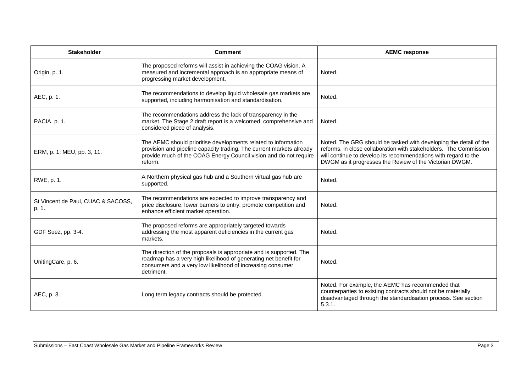| <b>Stakeholder</b>                          | <b>Comment</b>                                                                                                                                                                                                         | <b>AEMC response</b>                                                                                                                                                                                                                                                 |
|---------------------------------------------|------------------------------------------------------------------------------------------------------------------------------------------------------------------------------------------------------------------------|----------------------------------------------------------------------------------------------------------------------------------------------------------------------------------------------------------------------------------------------------------------------|
| Origin, p. 1.                               | The proposed reforms will assist in achieving the COAG vision. A<br>measured and incremental approach is an appropriate means of<br>progressing market development.                                                    | Noted.                                                                                                                                                                                                                                                               |
| AEC, p. 1.                                  | The recommendations to develop liquid wholesale gas markets are<br>supported, including harmonisation and standardisation.                                                                                             | Noted.                                                                                                                                                                                                                                                               |
| PACIA, p. 1.                                | The recommendations address the lack of transparency in the<br>market. The Stage 2 draft report is a welcomed, comprehensive and<br>considered piece of analysis.                                                      | Noted.                                                                                                                                                                                                                                                               |
| ERM, p. 1; MEU, pp. 3, 11.                  | The AEMC should prioritise developments related to information<br>provision and pipeline capacity trading. The current markets already<br>provide much of the COAG Energy Council vision and do not require<br>reform. | Noted. The GRG should be tasked with developing the detail of the<br>reforms, in close collaboration with stakeholders. The Commission<br>will continue to develop its recommendations with regard to the<br>DWGM as it progresses the Review of the Victorian DWGM. |
| RWE, p. 1.                                  | A Northern physical gas hub and a Southern virtual gas hub are<br>supported.                                                                                                                                           | Noted.                                                                                                                                                                                                                                                               |
| St Vincent de Paul, CUAC & SACOSS,<br>p. 1. | The recommendations are expected to improve transparency and<br>price disclosure, lower barriers to entry, promote competition and<br>enhance efficient market operation.                                              | Noted.                                                                                                                                                                                                                                                               |
| GDF Suez, pp. 3-4.                          | The proposed reforms are appropriately targeted towards<br>addressing the most apparent deficiencies in the current gas<br>markets.                                                                                    | Noted.                                                                                                                                                                                                                                                               |
| UnitingCare, p. 6.                          | The direction of the proposals is appropriate and is supported. The<br>roadmap has a very high likelihood of generating net benefit for<br>consumers and a very low likelihood of increasing consumer<br>detriment.    | Noted.                                                                                                                                                                                                                                                               |
| AEC, p. 3.                                  | Long term legacy contracts should be protected.                                                                                                                                                                        | Noted. For example, the AEMC has recommended that<br>counterparties to existing contracts should not be materially<br>disadvantaged through the standardisation process. See section<br>5.3.1.                                                                       |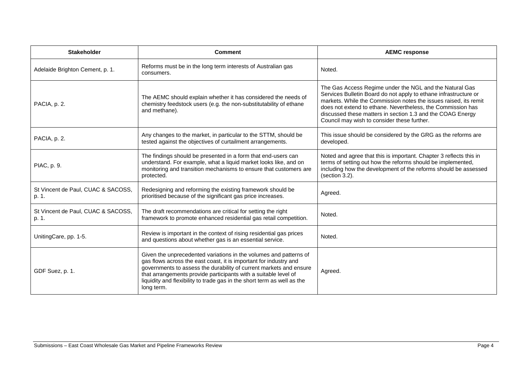| <b>Stakeholder</b>                          | <b>Comment</b>                                                                                                                                                                                                                                                                                                                                                           | <b>AEMC response</b>                                                                                                                                                                                                                                                                                                                                                        |
|---------------------------------------------|--------------------------------------------------------------------------------------------------------------------------------------------------------------------------------------------------------------------------------------------------------------------------------------------------------------------------------------------------------------------------|-----------------------------------------------------------------------------------------------------------------------------------------------------------------------------------------------------------------------------------------------------------------------------------------------------------------------------------------------------------------------------|
| Adelaide Brighton Cement, p. 1.             | Reforms must be in the long term interests of Australian gas<br>consumers.                                                                                                                                                                                                                                                                                               | Noted.                                                                                                                                                                                                                                                                                                                                                                      |
| PACIA, p. 2.                                | The AEMC should explain whether it has considered the needs of<br>chemistry feedstock users (e.g. the non-substitutability of ethane<br>and methane).                                                                                                                                                                                                                    | The Gas Access Regime under the NGL and the Natural Gas<br>Services Bulletin Board do not apply to ethane infrastructure or<br>markets. While the Commission notes the issues raised, its remit<br>does not extend to ethane. Nevertheless, the Commission has<br>discussed these matters in section 1.3 and the COAG Energy<br>Council may wish to consider these further. |
| PACIA, p. 2.                                | Any changes to the market, in particular to the STTM, should be<br>tested against the objectives of curtailment arrangements.                                                                                                                                                                                                                                            | This issue should be considered by the GRG as the reforms are<br>developed.                                                                                                                                                                                                                                                                                                 |
| PIAC, p. 9.                                 | The findings should be presented in a form that end-users can<br>understand. For example, what a liquid market looks like, and on<br>monitoring and transition mechanisms to ensure that customers are<br>protected.                                                                                                                                                     | Noted and agree that this is important. Chapter 3 reflects this in<br>terms of setting out how the reforms should be implemented,<br>including how the development of the reforms should be assessed<br>(section 3.2).                                                                                                                                                      |
| St Vincent de Paul, CUAC & SACOSS,<br>p. 1. | Redesigning and reforming the existing framework should be<br>prioritised because of the significant gas price increases.                                                                                                                                                                                                                                                | Agreed.                                                                                                                                                                                                                                                                                                                                                                     |
| St Vincent de Paul, CUAC & SACOSS,<br>p. 1. | The draft recommendations are critical for setting the right<br>framework to promote enhanced residential gas retail competition.                                                                                                                                                                                                                                        | Noted.                                                                                                                                                                                                                                                                                                                                                                      |
| UnitingCare, pp. 1-5.                       | Review is important in the context of rising residential gas prices<br>and questions about whether gas is an essential service.                                                                                                                                                                                                                                          | Noted.                                                                                                                                                                                                                                                                                                                                                                      |
| GDF Suez, p. 1.                             | Given the unprecedented variations in the volumes and patterns of<br>gas flows across the east coast, it is important for industry and<br>governments to assess the durability of current markets and ensure<br>that arrangements provide participants with a suitable level of<br>liquidity and flexibility to trade gas in the short term as well as the<br>long term. | Agreed.                                                                                                                                                                                                                                                                                                                                                                     |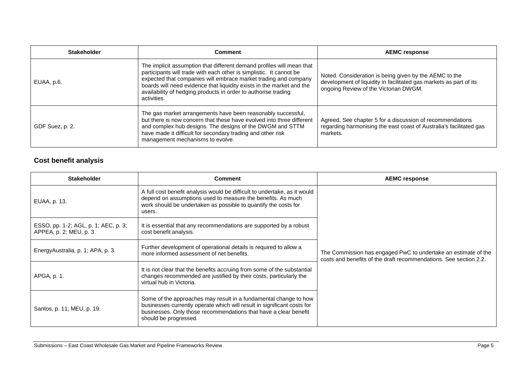| <b>Stakeholder</b> | Comment                                                                                                                                                                                                                                                                                                                                                                   | <b>AEMC response</b>                                                                                                                                                  |
|--------------------|---------------------------------------------------------------------------------------------------------------------------------------------------------------------------------------------------------------------------------------------------------------------------------------------------------------------------------------------------------------------------|-----------------------------------------------------------------------------------------------------------------------------------------------------------------------|
| EUAA, p.6.         | The implicit assumption that different demand profiles will mean that<br>participants will trade with each other is simplistic. It cannot be<br>expected that companies will embrace market trading and company<br>boards will need evidence that liquidity exists in the market and the<br>availability of hedging products in order to authorise trading<br>activities. | Noted. Consideration is being given by the AEMC to the<br>development of liquidity in facilitated gas markets as part of its<br>ongoing Review of the Victorian DWGM. |
| GDF Suez, p. 2.    | The gas market arrangements have been reasonably successful,<br>but there is now concern that these have evolved into three different<br>and complex hub designs. The designs of the DWGM and STTM<br>have made it difficult for secondary trading and other risk<br>management mechanisms to evolve.                                                                     | Agreed. See chapter 5 for a discussion of recommendations<br>regarding harmonising the east coast of Australia's facilitated gas<br>markets.                          |

## **Cost benefit analysis**

| <b>Stakeholder</b>                                              | <b>Comment</b>                                                                                                                                                                                                                           | <b>AEMC response</b>                                                                                                                |
|-----------------------------------------------------------------|------------------------------------------------------------------------------------------------------------------------------------------------------------------------------------------------------------------------------------------|-------------------------------------------------------------------------------------------------------------------------------------|
| EUAA, p. 13.                                                    | A full cost benefit analysis would be difficult to undertake, as it would<br>depend on assumptions used to measure the benefits. As much<br>work should be undertaken as possible to quantify the costs for<br>users.                    | The Commission has engaged PwC to undertake an estimate of the<br>costs and benefits of the draft recommendations. See section 2.2. |
| ESSO, pp. 1-2; AGL, p. 1; AEC, p. 3;<br>APPEA, p. 2; MEU, p. 3. | It is essential that any recommendations are supported by a robust<br>cost benefit analysis.                                                                                                                                             |                                                                                                                                     |
| EnergyAustralia, p. 1; APA, p. 3.                               | Further development of operational details is required to allow a<br>more informed assessment of net benefits.                                                                                                                           |                                                                                                                                     |
| APGA, p. 1.                                                     | It is not clear that the benefits accruing from some of the substantial<br>changes recommended are justified by their costs, particularly the<br>virtual hub in Victoria.                                                                |                                                                                                                                     |
| Santos, p. 11; MEU, p. 19.                                      | Some of the approaches may result in a fundamental change to how<br>businesses currently operate which will result in significant costs for<br>businesses. Only those recommendations that have a clear benefit<br>should be progressed. |                                                                                                                                     |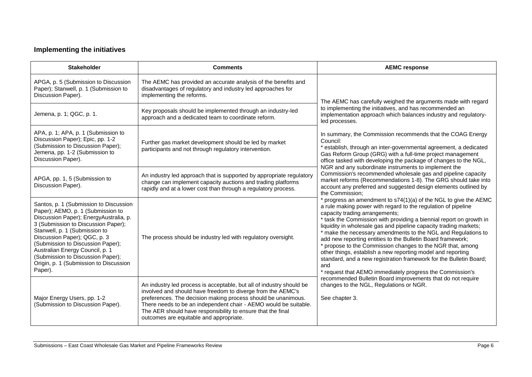## **Implementing the initiatives**

| <b>Stakeholder</b>                                                                                                                                                                                                                                                                                                                                                                              | <b>Comments</b>                                                                                                                                                                                                                                                                                                                                                                    | <b>AEMC response</b>                                                                                                                                                                                                                                                                                                                                                                                                                                                                                                                                                                                                                                                                                                                                                                                                                                                                                                                                                                                                                                                                                                               |
|-------------------------------------------------------------------------------------------------------------------------------------------------------------------------------------------------------------------------------------------------------------------------------------------------------------------------------------------------------------------------------------------------|------------------------------------------------------------------------------------------------------------------------------------------------------------------------------------------------------------------------------------------------------------------------------------------------------------------------------------------------------------------------------------|------------------------------------------------------------------------------------------------------------------------------------------------------------------------------------------------------------------------------------------------------------------------------------------------------------------------------------------------------------------------------------------------------------------------------------------------------------------------------------------------------------------------------------------------------------------------------------------------------------------------------------------------------------------------------------------------------------------------------------------------------------------------------------------------------------------------------------------------------------------------------------------------------------------------------------------------------------------------------------------------------------------------------------------------------------------------------------------------------------------------------------|
| APGA, p. 5 (Submission to Discussion<br>Paper); Stanwell, p. 1 (Submission to<br>Discussion Paper).                                                                                                                                                                                                                                                                                             | The AEMC has provided an accurate analysis of the benefits and<br>disadvantages of regulatory and industry led approaches for<br>implementing the reforms.                                                                                                                                                                                                                         | The AEMC has carefully weighed the arguments made with regard                                                                                                                                                                                                                                                                                                                                                                                                                                                                                                                                                                                                                                                                                                                                                                                                                                                                                                                                                                                                                                                                      |
| Jemena, p. 1; QGC, p. 1.                                                                                                                                                                                                                                                                                                                                                                        | Key proposals should be implemented through an industry-led<br>approach and a dedicated team to coordinate reform.                                                                                                                                                                                                                                                                 | to implementing the initiatives, and has recommended an<br>implementation approach which balances industry and regulatory-<br>led processes.                                                                                                                                                                                                                                                                                                                                                                                                                                                                                                                                                                                                                                                                                                                                                                                                                                                                                                                                                                                       |
| APA, p. 1; APA, p. 1 (Submission to<br>Discussion Paper); Epic, pp. 1-2<br>(Submission to Discussion Paper);<br>Jemena, pp. 1-2 (Submission to<br>Discussion Paper).                                                                                                                                                                                                                            | Further gas market development should be led by market<br>participants and not through regulatory intervention.                                                                                                                                                                                                                                                                    | In summary, the Commission recommends that the COAG Energy<br>Council:<br>* establish, through an inter-governmental agreement, a dedicated<br>Gas Reform Group (GRG) with a full-time project management<br>office tasked with developing the package of changes to the NGL,                                                                                                                                                                                                                                                                                                                                                                                                                                                                                                                                                                                                                                                                                                                                                                                                                                                      |
| APGA, pp. 1, 5 (Submission to<br>Discussion Paper).                                                                                                                                                                                                                                                                                                                                             | An industry led approach that is supported by appropriate regulatory<br>change can implement capacity auctions and trading platforms<br>rapidly and at a lower cost than through a regulatory process.                                                                                                                                                                             | NGR and any subordinate instruments to implement the<br>Commission's recommended wholesale gas and pipeline capacity<br>market reforms (Recommendations 1-8). The GRG should take into<br>account any preferred and suggested design elements outlined by<br>the Commission:<br>* progress an amendment to s74(1)(a) of the NGL to give the AEMC<br>a rule making power with regard to the regulation of pipeline<br>capacity trading arrangements;<br>* task the Commission with providing a biennial report on growth in<br>liquidity in wholesale gas and pipeline capacity trading markets;<br>* make the necessary amendments to the NGL and Regulations to<br>add new reporting entities to the Bulletin Board framework;<br>* propose to the Commission changes to the NGR that, among<br>other things, establish a new reporting model and reporting<br>standard, and a new registration framework for the Bulletin Board;<br>and<br>* request that AEMO immediately progress the Commission's<br>recommended Bulletin Board improvements that do not require<br>changes to the NGL, Regulations or NGR.<br>See chapter 3. |
| Santos, p. 1 (Submission to Discussion<br>Paper); AEMO, p. 1 (Submission to<br>Discussion Paper); EnergyAustralia, p.<br>3 (Submission to Discussion Paper);<br>Stanwell, p. 1 (Submission to<br>Discussion Paper); QGC, p. 3<br>(Submission to Discussion Paper);<br>Australian Energy Council, p. 1<br>(Submission to Discussion Paper);<br>Origin, p. 1 (Submission to Discussion<br>Paper). | The process should be industry led with regulatory oversight.                                                                                                                                                                                                                                                                                                                      |                                                                                                                                                                                                                                                                                                                                                                                                                                                                                                                                                                                                                                                                                                                                                                                                                                                                                                                                                                                                                                                                                                                                    |
| Major Energy Users, pp. 1-2<br>(Submission to Discussion Paper).                                                                                                                                                                                                                                                                                                                                | An industry led process is acceptable, but all of industry should be<br>involved and should have freedom to diverge from the AEMC's<br>preferences. The decision making process should be unanimous.<br>There needs to be an independent chair - AEMO would be suitable.<br>The AER should have responsibility to ensure that the final<br>outcomes are equitable and appropriate. |                                                                                                                                                                                                                                                                                                                                                                                                                                                                                                                                                                                                                                                                                                                                                                                                                                                                                                                                                                                                                                                                                                                                    |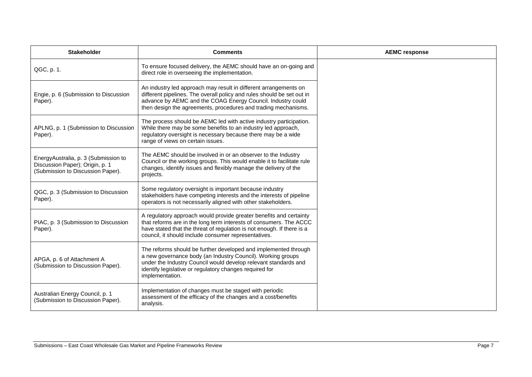| <b>Stakeholder</b>                                                                                           | <b>Comments</b>                                                                                                                                                                                                                                                                 | <b>AEMC response</b> |
|--------------------------------------------------------------------------------------------------------------|---------------------------------------------------------------------------------------------------------------------------------------------------------------------------------------------------------------------------------------------------------------------------------|----------------------|
| QGC, p. 1.                                                                                                   | To ensure focused delivery, the AEMC should have an on-going and<br>direct role in overseeing the implementation.                                                                                                                                                               |                      |
| Engie, p. 6 (Submission to Discussion<br>Paper).                                                             | An industry led approach may result in different arrangements on<br>different pipelines. The overall policy and rules should be set out in<br>advance by AEMC and the COAG Energy Council. Industry could<br>then design the agreements, procedures and trading mechanisms.     |                      |
| APLNG, p. 1 (Submission to Discussion<br>Paper).                                                             | The process should be AEMC led with active industry participation.<br>While there may be some benefits to an industry led approach,<br>regulatory oversight is necessary because there may be a wide<br>range of views on certain issues.                                       |                      |
| EnergyAustralia, p. 3 (Submission to<br>Discussion Paper); Origin, p. 1<br>(Submission to Discussion Paper). | The AEMC should be involved in or an observer to the Industry<br>Council or the working groups. This would enable it to facilitate rule<br>changes, identify issues and flexibly manage the delivery of the<br>projects.                                                        |                      |
| QGC, p. 3 (Submission to Discussion<br>Paper).                                                               | Some regulatory oversight is important because industry<br>stakeholders have competing interests and the interests of pipeline<br>operators is not necessarily aligned with other stakeholders.                                                                                 |                      |
| PIAC, p. 3 (Submission to Discussion<br>Paper).                                                              | A regulatory approach would provide greater benefits and certainty<br>that reforms are in the long term interests of consumers. The ACCC<br>have stated that the threat of regulation is not enough. If there is a<br>council, it should include consumer representatives.      |                      |
| APGA, p. 6 of Attachment A<br>(Submission to Discussion Paper).                                              | The reforms should be further developed and implemented through<br>a new governance body (an Industry Council). Working groups<br>under the Industry Council would develop relevant standards and<br>identify legislative or regulatory changes required for<br>implementation. |                      |
| Australian Energy Council, p. 1<br>(Submission to Discussion Paper).                                         | Implementation of changes must be staged with periodic<br>assessment of the efficacy of the changes and a cost/benefits<br>analysis.                                                                                                                                            |                      |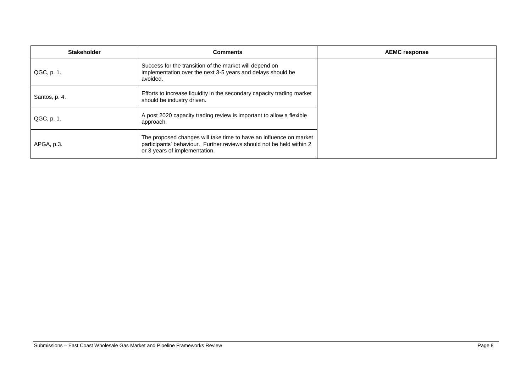| <b>Stakeholder</b> | <b>Comments</b>                                                                                                                                                             | <b>AEMC response</b> |
|--------------------|-----------------------------------------------------------------------------------------------------------------------------------------------------------------------------|----------------------|
| QGC, p. 1.         | Success for the transition of the market will depend on<br>implementation over the next 3-5 years and delays should be<br>avoided.                                          |                      |
| Santos, p. 4.      | Efforts to increase liquidity in the secondary capacity trading market<br>should be industry driven.                                                                        |                      |
| QGC, p. 1.         | A post 2020 capacity trading review is important to allow a flexible<br>approach.                                                                                           |                      |
| APGA, p.3.         | The proposed changes will take time to have an influence on market<br>participants' behaviour. Further reviews should not be held within 2<br>or 3 years of implementation. |                      |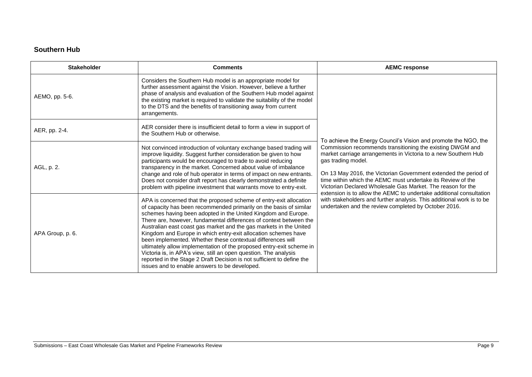### **Southern Hub**

| <b>Stakeholder</b> | <b>Comments</b>                                                                                                                                                                                                                                                                                                                                                                                                                                                                                                                                                                                                                                                                                                                                               | <b>AEMC response</b>                                                                                                                                                                                                                                                                                                                                                                                                                                                                                                                                                                                                          |
|--------------------|---------------------------------------------------------------------------------------------------------------------------------------------------------------------------------------------------------------------------------------------------------------------------------------------------------------------------------------------------------------------------------------------------------------------------------------------------------------------------------------------------------------------------------------------------------------------------------------------------------------------------------------------------------------------------------------------------------------------------------------------------------------|-------------------------------------------------------------------------------------------------------------------------------------------------------------------------------------------------------------------------------------------------------------------------------------------------------------------------------------------------------------------------------------------------------------------------------------------------------------------------------------------------------------------------------------------------------------------------------------------------------------------------------|
| AEMO, pp. 5-6.     | Considers the Southern Hub model is an appropriate model for<br>further assessment against the Vision. However, believe a further<br>phase of analysis and evaluation of the Southern Hub model against<br>the existing market is required to validate the suitability of the model<br>to the DTS and the benefits of transitioning away from current<br>arrangements.                                                                                                                                                                                                                                                                                                                                                                                        | To achieve the Energy Council's Vision and promote the NGO, the<br>Commission recommends transitioning the existing DWGM and<br>market carriage arrangements in Victoria to a new Southern Hub<br>gas trading model.<br>On 13 May 2016, the Victorian Government extended the period of<br>time within which the AEMC must undertake its Review of the<br>Victorian Declared Wholesale Gas Market. The reason for the<br>extension is to allow the AEMC to undertake additional consultation<br>with stakeholders and further analysis. This additional work is to be<br>undertaken and the review completed by October 2016. |
| AER, pp. 2-4.      | AER consider there is insufficient detail to form a view in support of<br>the Southern Hub or otherwise.                                                                                                                                                                                                                                                                                                                                                                                                                                                                                                                                                                                                                                                      |                                                                                                                                                                                                                                                                                                                                                                                                                                                                                                                                                                                                                               |
| AGL, p. 2.         | Not convinced introduction of voluntary exchange based trading will<br>improve liquidity. Suggest further consideration be given to how<br>participants would be encouraged to trade to avoid reducing<br>transparency in the market. Concerned about value of imbalance<br>change and role of hub operator in terms of impact on new entrants.<br>Does not consider draft report has clearly demonstrated a definite<br>problem with pipeline investment that warrants move to entry-exit.                                                                                                                                                                                                                                                                   |                                                                                                                                                                                                                                                                                                                                                                                                                                                                                                                                                                                                                               |
| APA Group, p. 6.   | APA is concerned that the proposed scheme of entry-exit allocation<br>of capacity has been recommended primarily on the basis of similar<br>schemes having been adopted in the United Kingdom and Europe.<br>There are, however, fundamental differences of context between the<br>Australian east coast gas market and the gas markets in the United<br>Kingdom and Europe in which entry-exit allocation schemes have<br>been implemented. Whether these contextual differences will<br>ultimately allow implementation of the proposed entry-exit scheme in<br>Victoria is, in APA's view, still an open question. The analysis<br>reported in the Stage 2 Draft Decision is not sufficient to define the<br>issues and to enable answers to be developed. |                                                                                                                                                                                                                                                                                                                                                                                                                                                                                                                                                                                                                               |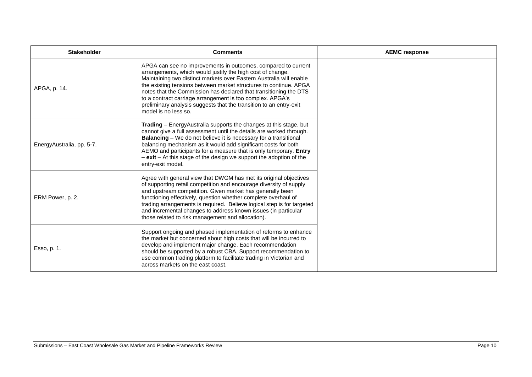| <b>Stakeholder</b>        | <b>Comments</b>                                                                                                                                                                                                                                                                                                                                                                                                                                                                                         | <b>AEMC response</b> |
|---------------------------|---------------------------------------------------------------------------------------------------------------------------------------------------------------------------------------------------------------------------------------------------------------------------------------------------------------------------------------------------------------------------------------------------------------------------------------------------------------------------------------------------------|----------------------|
| APGA, p. 14.              | APGA can see no improvements in outcomes, compared to current<br>arrangements, which would justify the high cost of change.<br>Maintaining two distinct markets over Eastern Australia will enable<br>the existing tensions between market structures to continue. APGA<br>notes that the Commission has declared that transitioning the DTS<br>to a contract carriage arrangement is too complex. APGA's<br>preliminary analysis suggests that the transition to an entry-exit<br>model is no less so. |                      |
| EnergyAustralia, pp. 5-7. | Trading - EnergyAustralia supports the changes at this stage, but<br>cannot give a full assessment until the details are worked through.<br><b>Balancing</b> - We do not believe it is necessary for a transitional<br>balancing mechanism as it would add significant costs for both<br>AEMO and participants for a measure that is only temporary. Entry<br>$-$ exit – At this stage of the design we support the adoption of the<br>entry-exit model.                                                |                      |
| ERM Power, p. 2.          | Agree with general view that DWGM has met its original objectives<br>of supporting retail competition and encourage diversity of supply<br>and upstream competition. Given market has generally been<br>functioning effectively, question whether complete overhaul of<br>trading arrangements is required. Believe logical step is for targeted<br>and incremental changes to address known issues (in particular<br>those related to risk management and allocation).                                 |                      |
| Esso, p. 1.               | Support ongoing and phased implementation of reforms to enhance<br>the market but concerned about high costs that will be incurred to<br>develop and implement major change. Each recommendation<br>should be supported by a robust CBA. Support recommendation to<br>use common trading platform to facilitate trading in Victorian and<br>across markets on the east coast.                                                                                                                           |                      |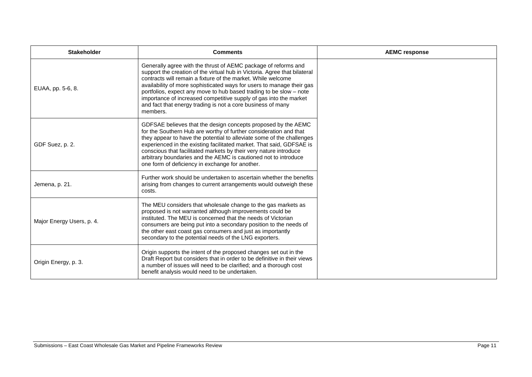| <b>Stakeholder</b>        | <b>Comments</b>                                                                                                                                                                                                                                                                                                                                                                                                                                                                                            | <b>AEMC response</b> |
|---------------------------|------------------------------------------------------------------------------------------------------------------------------------------------------------------------------------------------------------------------------------------------------------------------------------------------------------------------------------------------------------------------------------------------------------------------------------------------------------------------------------------------------------|----------------------|
| EUAA, pp. 5-6, 8.         | Generally agree with the thrust of AEMC package of reforms and<br>support the creation of the virtual hub in Victoria. Agree that bilateral<br>contracts will remain a fixture of the market. While welcome<br>availability of more sophisticated ways for users to manage their gas<br>portfolios, expect any move to hub based trading to be slow - note<br>importance of increased competitive supply of gas into the market<br>and fact that energy trading is not a core business of many<br>members. |                      |
| GDF Suez, p. 2.           | GDFSAE believes that the design concepts proposed by the AEMC<br>for the Southern Hub are worthy of further consideration and that<br>they appear to have the potential to alleviate some of the challenges<br>experienced in the existing facilitated market. That said, GDFSAE is<br>conscious that facilitated markets by their very nature introduce<br>arbitrary boundaries and the AEMC is cautioned not to introduce<br>one form of deficiency in exchange for another.                             |                      |
| Jemena, p. 21.            | Further work should be undertaken to ascertain whether the benefits<br>arising from changes to current arrangements would outweigh these<br>costs.                                                                                                                                                                                                                                                                                                                                                         |                      |
| Major Energy Users, p. 4. | The MEU considers that wholesale change to the gas markets as<br>proposed is not warranted although improvements could be<br>instituted. The MEU is concerned that the needs of Victorian<br>consumers are being put into a secondary position to the needs of<br>the other east coast gas consumers and just as importantly<br>secondary to the potential needs of the LNG exporters.                                                                                                                     |                      |
| Origin Energy, p. 3.      | Origin supports the intent of the proposed changes set out in the<br>Draft Report but considers that in order to be definitive in their views<br>a number of issues will need to be clarified; and a thorough cost<br>benefit analysis would need to be undertaken.                                                                                                                                                                                                                                        |                      |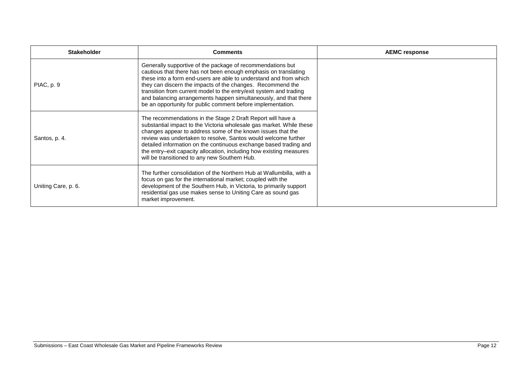| <b>Stakeholder</b>  | <b>Comments</b>                                                                                                                                                                                                                                                                                                                                                                                                                                                           | <b>AEMC response</b> |
|---------------------|---------------------------------------------------------------------------------------------------------------------------------------------------------------------------------------------------------------------------------------------------------------------------------------------------------------------------------------------------------------------------------------------------------------------------------------------------------------------------|----------------------|
| PIAC, p. 9          | Generally supportive of the package of recommendations but<br>cautious that there has not been enough emphasis on translating<br>these into a form end-users are able to understand and from which<br>they can discern the impacts of the changes. Recommend the<br>transition from current model to the entry/exit system and trading<br>and balancing arrangements happen simultaneously, and that there<br>be an opportunity for public comment before implementation. |                      |
| Santos, p. 4.       | The recommendations in the Stage 2 Draft Report will have a<br>substantial impact to the Victoria wholesale gas market. While these<br>changes appear to address some of the known issues that the<br>review was undertaken to resolve, Santos would welcome further<br>detailed information on the continuous exchange based trading and<br>the entry-exit capacity allocation, including how existing measures<br>will be transitioned to any new Southern Hub.         |                      |
| Uniting Care, p. 6. | The further consolidation of the Northern Hub at Wallumbilla, with a<br>focus on gas for the international market; coupled with the<br>development of the Southern Hub, in Victoria, to primarily support<br>residential gas use makes sense to Uniting Care as sound gas<br>market improvement.                                                                                                                                                                          |                      |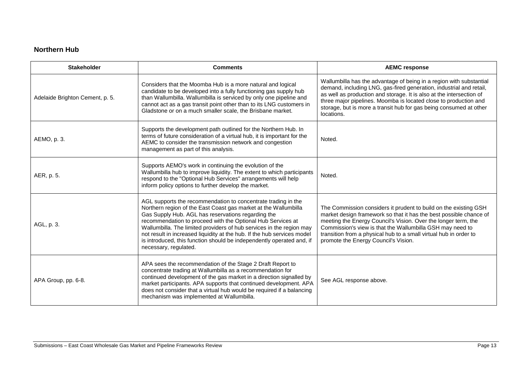### **Northern Hub**

| <b>Stakeholder</b>              | <b>Comments</b>                                                                                                                                                                                                                                                                                                                                                                                                                                                                                            | <b>AEMC response</b>                                                                                                                                                                                                                                                                                                                                                               |
|---------------------------------|------------------------------------------------------------------------------------------------------------------------------------------------------------------------------------------------------------------------------------------------------------------------------------------------------------------------------------------------------------------------------------------------------------------------------------------------------------------------------------------------------------|------------------------------------------------------------------------------------------------------------------------------------------------------------------------------------------------------------------------------------------------------------------------------------------------------------------------------------------------------------------------------------|
| Adelaide Brighton Cement, p. 5. | Considers that the Moomba Hub is a more natural and logical<br>candidate to be developed into a fully functioning gas supply hub<br>than Wallumbilla. Wallumbilla is serviced by only one pipeline and<br>cannot act as a gas transit point other than to its LNG customers in<br>Gladstone or on a much smaller scale, the Brisbane market.                                                                                                                                                               | Wallumbilla has the advantage of being in a region with substantial<br>demand, including LNG, gas-fired generation, industrial and retail,<br>as well as production and storage. It is also at the intersection of<br>three major pipelines. Moomba is located close to production and<br>storage, but is more a transit hub for gas being consumed at other<br>locations.         |
| AEMO, p. 3.                     | Supports the development path outlined for the Northern Hub. In<br>terms of future consideration of a virtual hub, it is important for the<br>AEMC to consider the transmission network and congestion<br>management as part of this analysis.                                                                                                                                                                                                                                                             | Noted.                                                                                                                                                                                                                                                                                                                                                                             |
| AER, p. 5.                      | Supports AEMO's work in continuing the evolution of the<br>Wallumbilla hub to improve liquidity. The extent to which participants<br>respond to the "Optional Hub Services" arrangements will help<br>inform policy options to further develop the market.                                                                                                                                                                                                                                                 | Noted.                                                                                                                                                                                                                                                                                                                                                                             |
| AGL, p. 3.                      | AGL supports the recommendation to concentrate trading in the<br>Northern region of the East Coast gas market at the Wallumbilla<br>Gas Supply Hub. AGL has reservations regarding the<br>recommendation to proceed with the Optional Hub Services at<br>Wallumbilla. The limited providers of hub services in the region may<br>not result in increased liquidity at the hub. If the hub services model<br>is introduced, this function should be independently operated and, if<br>necessary, regulated. | The Commission considers it prudent to build on the existing GSH<br>market design framework so that it has the best possible chance of<br>meeting the Energy Council's Vision. Over the longer term, the<br>Commission's view is that the Wallumbilla GSH may need to<br>transition from a physical hub to a small virtual hub in order to<br>promote the Energy Council's Vision. |
| APA Group, pp. 6-8.             | APA sees the recommendation of the Stage 2 Draft Report to<br>concentrate trading at Wallumbilla as a recommendation for<br>continued development of the gas market in a direction signalled by<br>market participants. APA supports that continued development. APA<br>does not consider that a virtual hub would be required if a balancing<br>mechanism was implemented at Wallumbilla.                                                                                                                 | See AGL response above.                                                                                                                                                                                                                                                                                                                                                            |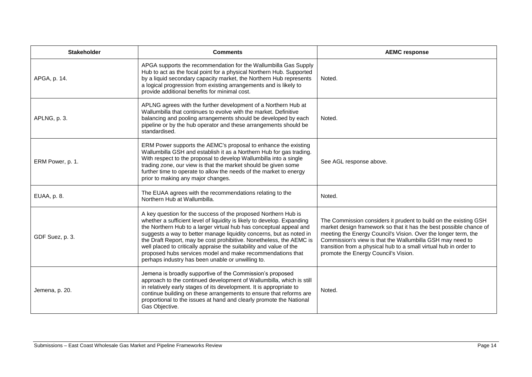| <b>Stakeholder</b> | <b>Comments</b>                                                                                                                                                                                                                                                                                                                                                                                                                                                                                                                                         | <b>AEMC response</b>                                                                                                                                                                                                                                                                                                                                                               |
|--------------------|---------------------------------------------------------------------------------------------------------------------------------------------------------------------------------------------------------------------------------------------------------------------------------------------------------------------------------------------------------------------------------------------------------------------------------------------------------------------------------------------------------------------------------------------------------|------------------------------------------------------------------------------------------------------------------------------------------------------------------------------------------------------------------------------------------------------------------------------------------------------------------------------------------------------------------------------------|
| APGA, p. 14.       | APGA supports the recommendation for the Wallumbilla Gas Supply<br>Hub to act as the focal point for a physical Northern Hub. Supported<br>by a liquid secondary capacity market, the Northern Hub represents<br>a logical progression from existing arrangements and is likely to<br>provide additional benefits for minimal cost.                                                                                                                                                                                                                     | Noted.                                                                                                                                                                                                                                                                                                                                                                             |
| APLNG, p. 3.       | APLNG agrees with the further development of a Northern Hub at<br>Wallumbilla that continues to evolve with the market. Definitive<br>balancing and pooling arrangements should be developed by each<br>pipeline or by the hub operator and these arrangements should be<br>standardised.                                                                                                                                                                                                                                                               | Noted.                                                                                                                                                                                                                                                                                                                                                                             |
| ERM Power, p. 1.   | ERM Power supports the AEMC's proposal to enhance the existing<br>Wallumbilla GSH and establish it as a Northern Hub for gas trading.<br>With respect to the proposal to develop Wallumbilla into a single<br>trading zone, our view is that the market should be given some<br>further time to operate to allow the needs of the market to energy<br>prior to making any major changes.                                                                                                                                                                | See AGL response above.                                                                                                                                                                                                                                                                                                                                                            |
| EUAA, p. 8.        | The EUAA agrees with the recommendations relating to the<br>Northern Hub at Wallumbilla.                                                                                                                                                                                                                                                                                                                                                                                                                                                                | Noted.                                                                                                                                                                                                                                                                                                                                                                             |
| GDF Suez, p. 3.    | A key question for the success of the proposed Northern Hub is<br>whether a sufficient level of liquidity is likely to develop. Expanding<br>the Northern Hub to a larger virtual hub has conceptual appeal and<br>suggests a way to better manage liquidity concerns, but as noted in<br>the Draft Report, may be cost prohibitive. Nonetheless, the AEMC is<br>well placed to critically appraise the suitability and value of the<br>proposed hubs services model and make recommendations that<br>perhaps industry has been unable or unwilling to. | The Commission considers it prudent to build on the existing GSH<br>market design framework so that it has the best possible chance of<br>meeting the Energy Council's Vision. Over the longer term, the<br>Commission's view is that the Wallumbilla GSH may need to<br>transition from a physical hub to a small virtual hub in order to<br>promote the Energy Council's Vision. |
| Jemena, p. 20.     | Jemena is broadly supportive of the Commission's proposed<br>approach to the continued development of Wallumbilla, which is still<br>in relatively early stages of its development. It is appropriate to<br>continue building on these arrangements to ensure that reforms are<br>proportional to the issues at hand and clearly promote the National<br>Gas Objective.                                                                                                                                                                                 | Noted.                                                                                                                                                                                                                                                                                                                                                                             |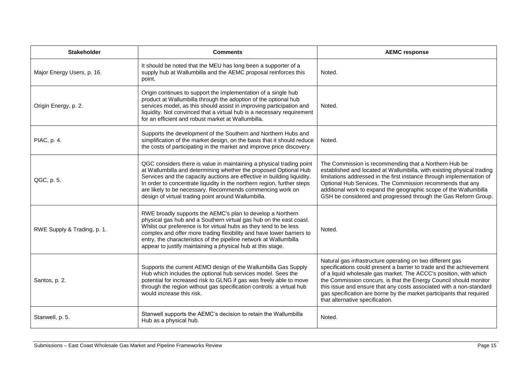| <b>Stakeholder</b>          | <b>Comments</b>                                                                                                                                                                                                                                                                                                                                                                                                    | <b>AEMC response</b>                                                                                                                                                                                                                                                                                                                                                                                                                                         |
|-----------------------------|--------------------------------------------------------------------------------------------------------------------------------------------------------------------------------------------------------------------------------------------------------------------------------------------------------------------------------------------------------------------------------------------------------------------|--------------------------------------------------------------------------------------------------------------------------------------------------------------------------------------------------------------------------------------------------------------------------------------------------------------------------------------------------------------------------------------------------------------------------------------------------------------|
| Major Energy Users, p. 16.  | It should be noted that the MEU has long been a supporter of a<br>supply hub at Wallumbilla and the AEMC proposal reinforces this<br>point.                                                                                                                                                                                                                                                                        | Noted.                                                                                                                                                                                                                                                                                                                                                                                                                                                       |
| Origin Energy, p. 2.        | Origin continues to support the implementation of a single hub<br>product at Wallumbilla through the adoption of the optional hub<br>services model, as this should assist in improving participation and<br>liquidity. Not convinced that a virtual hub is a necessary requirement<br>for an efficient and robust market at Wallumbilla.                                                                          | Noted.                                                                                                                                                                                                                                                                                                                                                                                                                                                       |
| PIAC, p. 4.                 | Supports the development of the Southern and Northern Hubs and<br>simplification of the market design, on the basis that it should reduce<br>the costs of participating in the market and improve price discovery.                                                                                                                                                                                                 | Noted.                                                                                                                                                                                                                                                                                                                                                                                                                                                       |
| QGC, p. 5.                  | QGC considers there is value in maintaining a physical trading point<br>at Wallumbilla and determining whether the proposed Optional Hub<br>Services and the capacity auctions are effective in building liquidity.<br>In order to concentrate liquidity in the northern region, further steps<br>are likely to be necessary. Recommends commencing work on<br>design of virtual trading point around Wallumbilla. | The Commission is recommending that a Northern Hub be<br>established and located at Wallumbilla, with existing physical trading<br>limitations addressed in the first instance through implementation of<br>Optional Hub Services. The Commission recommends that any<br>additional work to expand the geographic scope of the Wallumbilla<br>GSH be considered and progressed through the Gas Reform Group.                                                 |
| RWE Supply & Trading, p. 1. | RWE broadly supports the AEMC's plan to develop a Northern<br>physical gas hub and a Southern virtual gas hub on the east coast.<br>Whilst our preference is for virtual hubs as they tend to be less<br>complex and offer more trading flexibility and have lower barriers to<br>entry, the characteristics of the pipeline network at Wallumbilla<br>appear to justify maintaining a physical hub at this stage. | Noted.                                                                                                                                                                                                                                                                                                                                                                                                                                                       |
| Santos, p. 2.               | Supports the current AEMO design of the Wallumbilla Gas Supply<br>Hub which includes the optional hub services model. Sees the<br>potential for increased risk to GLNG if gas was freely able to move<br>through the region without gas specification controls: a virtual hub<br>would increase this risk.                                                                                                         | Natural gas infrastructure operating on two different gas<br>specifications could present a barrier to trade and the achievement<br>of a liquid wholesale gas market. The ACCC's position, with which<br>the Commission concurs, is that the Energy Council should monitor<br>this issue and ensure that any costs associated with a non-standard<br>gas specification are borne by the market participants that required<br>that alternative specification. |
| Stanwell, p. 5.             | Stanwell supports the AEMC's decision to retain the Wallumbilla<br>Hub as a physical hub.                                                                                                                                                                                                                                                                                                                          | Noted.                                                                                                                                                                                                                                                                                                                                                                                                                                                       |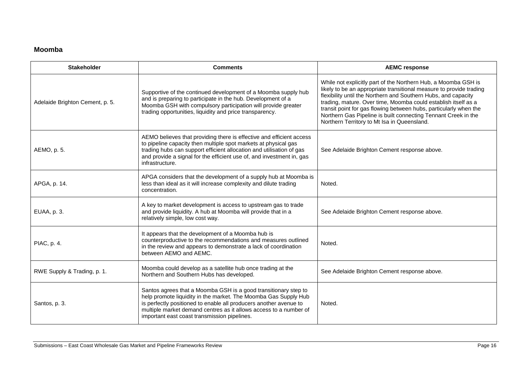### **Moomba**

| <b>Stakeholder</b>              | <b>Comments</b>                                                                                                                                                                                                                                                                                                              | <b>AEMC response</b>                                                                                                                                                                                                                                                                                                                                                                                                                                            |
|---------------------------------|------------------------------------------------------------------------------------------------------------------------------------------------------------------------------------------------------------------------------------------------------------------------------------------------------------------------------|-----------------------------------------------------------------------------------------------------------------------------------------------------------------------------------------------------------------------------------------------------------------------------------------------------------------------------------------------------------------------------------------------------------------------------------------------------------------|
| Adelaide Brighton Cement, p. 5. | Supportive of the continued development of a Moomba supply hub<br>and is preparing to participate in the hub. Development of a<br>Moomba GSH with compulsory participation will provide greater<br>trading opportunities, liquidity and price transparency.                                                                  | While not explicitly part of the Northern Hub, a Moomba GSH is<br>likely to be an appropriate transitional measure to provide trading<br>flexibility until the Northern and Southern Hubs, and capacity<br>trading, mature. Over time, Moomba could establish itself as a<br>transit point for gas flowing between hubs, particularly when the<br>Northern Gas Pipeline is built connecting Tennant Creek in the<br>Northern Territory to Mt Isa in Queensland. |
| AEMO, p. 5.                     | AEMO believes that providing there is effective and efficient access<br>to pipeline capacity then multiple spot markets at physical gas<br>trading hubs can support efficient allocation and utilisation of gas<br>and provide a signal for the efficient use of, and investment in, gas<br>infrastructure.                  | See Adelaide Brighton Cement response above.                                                                                                                                                                                                                                                                                                                                                                                                                    |
| APGA, p. 14.                    | APGA considers that the development of a supply hub at Moomba is<br>less than ideal as it will increase complexity and dilute trading<br>concentration.                                                                                                                                                                      | Noted.                                                                                                                                                                                                                                                                                                                                                                                                                                                          |
| EUAA, p. 3.                     | A key to market development is access to upstream gas to trade<br>and provide liquidity. A hub at Moomba will provide that in a<br>relatively simple, low cost way.                                                                                                                                                          | See Adelaide Brighton Cement response above.                                                                                                                                                                                                                                                                                                                                                                                                                    |
| PIAC, p. 4.                     | It appears that the development of a Moomba hub is<br>counterproductive to the recommendations and measures outlined<br>in the review and appears to demonstrate a lack of coordination<br>between AEMO and AEMC.                                                                                                            | Noted.                                                                                                                                                                                                                                                                                                                                                                                                                                                          |
| RWE Supply & Trading, p. 1.     | Moomba could develop as a satellite hub once trading at the<br>Northern and Southern Hubs has developed.                                                                                                                                                                                                                     | See Adelaide Brighton Cement response above.                                                                                                                                                                                                                                                                                                                                                                                                                    |
| Santos, p. 3.                   | Santos agrees that a Moomba GSH is a good transitionary step to<br>help promote liquidity in the market. The Moomba Gas Supply Hub<br>is perfectly positioned to enable all producers another avenue to<br>multiple market demand centres as it allows access to a number of<br>important east coast transmission pipelines. | Noted.                                                                                                                                                                                                                                                                                                                                                                                                                                                          |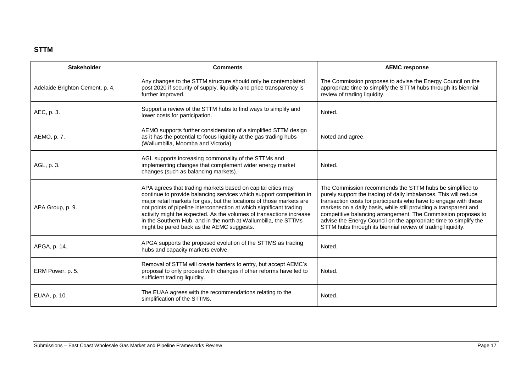### **STTM**

| <b>Stakeholder</b>              | <b>Comments</b>                                                                                                                                                                                                                                                                                                                                                                                                                                                          | <b>AEMC response</b>                                                                                                                                                                                                                                                                                                                                                                                                                                                       |
|---------------------------------|--------------------------------------------------------------------------------------------------------------------------------------------------------------------------------------------------------------------------------------------------------------------------------------------------------------------------------------------------------------------------------------------------------------------------------------------------------------------------|----------------------------------------------------------------------------------------------------------------------------------------------------------------------------------------------------------------------------------------------------------------------------------------------------------------------------------------------------------------------------------------------------------------------------------------------------------------------------|
| Adelaide Brighton Cement, p. 4. | Any changes to the STTM structure should only be contemplated<br>post 2020 if security of supply, liquidity and price transparency is<br>further improved.                                                                                                                                                                                                                                                                                                               | The Commission proposes to advise the Energy Council on the<br>appropriate time to simplify the STTM hubs through its biennial<br>review of trading liquidity.                                                                                                                                                                                                                                                                                                             |
| AEC, p. 3.                      | Support a review of the STTM hubs to find ways to simplify and<br>lower costs for participation.                                                                                                                                                                                                                                                                                                                                                                         | Noted.                                                                                                                                                                                                                                                                                                                                                                                                                                                                     |
| AEMO, p. 7.                     | AEMO supports further consideration of a simplified STTM design<br>as it has the potential to focus liquidity at the gas trading hubs<br>(Wallumbilla, Moomba and Victoria).                                                                                                                                                                                                                                                                                             | Noted and agree.                                                                                                                                                                                                                                                                                                                                                                                                                                                           |
| AGL, p. 3.                      | AGL supports increasing commonality of the STTMs and<br>implementing changes that complement wider energy market<br>changes (such as balancing markets).                                                                                                                                                                                                                                                                                                                 | Noted.                                                                                                                                                                                                                                                                                                                                                                                                                                                                     |
| APA Group, p. 9.                | APA agrees that trading markets based on capital cities may<br>continue to provide balancing services which support competition in<br>major retail markets for gas, but the locations of those markets are<br>not points of pipeline interconnection at which significant trading<br>activity might be expected. As the volumes of transactions increase<br>in the Southern Hub, and in the north at Wallumbilla, the STTMs<br>might be pared back as the AEMC suggests. | The Commission recommends the STTM hubs be simplified to<br>purely support the trading of daily imbalances. This will reduce<br>transaction costs for participants who have to engage with these<br>markets on a daily basis, while still providing a transparent and<br>competitive balancing arrangement. The Commission proposes to<br>advise the Energy Council on the appropriate time to simplify the<br>STTM hubs through its biennial review of trading liquidity. |
| APGA, p. 14.                    | APGA supports the proposed evolution of the STTMS as trading<br>hubs and capacity markets evolve.                                                                                                                                                                                                                                                                                                                                                                        | Noted.                                                                                                                                                                                                                                                                                                                                                                                                                                                                     |
| ERM Power, p. 5.                | Removal of STTM will create barriers to entry, but accept AEMC's<br>proposal to only proceed with changes if other reforms have led to<br>sufficient trading liquidity.                                                                                                                                                                                                                                                                                                  | Noted.                                                                                                                                                                                                                                                                                                                                                                                                                                                                     |
| EUAA, p. 10.                    | The EUAA agrees with the recommendations relating to the<br>simplification of the STTMs.                                                                                                                                                                                                                                                                                                                                                                                 | Noted.                                                                                                                                                                                                                                                                                                                                                                                                                                                                     |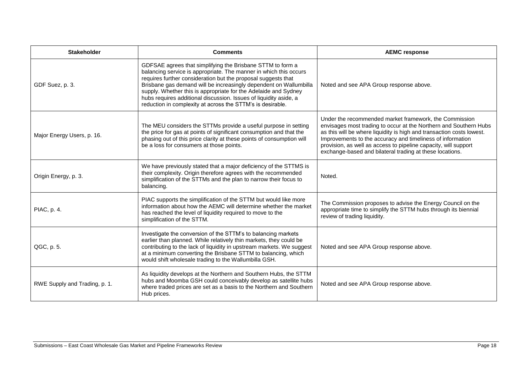| <b>Stakeholder</b>            | <b>Comments</b>                                                                                                                                                                                                                                                                                                                                                                                                                                                             | <b>AEMC response</b>                                                                                                                                                                                                                                                                                                                                                                              |
|-------------------------------|-----------------------------------------------------------------------------------------------------------------------------------------------------------------------------------------------------------------------------------------------------------------------------------------------------------------------------------------------------------------------------------------------------------------------------------------------------------------------------|---------------------------------------------------------------------------------------------------------------------------------------------------------------------------------------------------------------------------------------------------------------------------------------------------------------------------------------------------------------------------------------------------|
| GDF Suez, p. 3.               | GDFSAE agrees that simplifying the Brisbane STTM to form a<br>balancing service is appropriate. The manner in which this occurs<br>requires further consideration but the proposal suggests that<br>Brisbane gas demand will be increasingly dependent on Wallumbilla<br>supply. Whether this is appropriate for the Adelaide and Sydney<br>hubs requires additional discussion. Issues of liquidity aside, a<br>reduction in complexity at across the STTM's is desirable. | Noted and see APA Group response above.                                                                                                                                                                                                                                                                                                                                                           |
| Major Energy Users, p. 16.    | The MEU considers the STTMs provide a useful purpose in setting<br>the price for gas at points of significant consumption and that the<br>phasing out of this price clarity at these points of consumption will<br>be a loss for consumers at those points.                                                                                                                                                                                                                 | Under the recommended market framework, the Commission<br>envisages most trading to occur at the Northern and Southern Hubs<br>as this will be where liquidity is high and transaction costs lowest.<br>Improvements to the accuracy and timeliness of information<br>provision, as well as access to pipeline capacity, will support<br>exchange-based and bilateral trading at these locations. |
| Origin Energy, p. 3.          | We have previously stated that a major deficiency of the STTMS is<br>their complexity. Origin therefore agrees with the recommended<br>simplification of the STTMs and the plan to narrow their focus to<br>balancing.                                                                                                                                                                                                                                                      | Noted.                                                                                                                                                                                                                                                                                                                                                                                            |
| PIAC, p. 4.                   | PIAC supports the simplification of the STTM but would like more<br>information about how the AEMC will determine whether the market<br>has reached the level of liquidity required to move to the<br>simplification of the STTM.                                                                                                                                                                                                                                           | The Commission proposes to advise the Energy Council on the<br>appropriate time to simplify the STTM hubs through its biennial<br>review of trading liquidity.                                                                                                                                                                                                                                    |
| QGC, p. 5.                    | Investigate the conversion of the STTM's to balancing markets<br>earlier than planned. While relatively thin markets, they could be<br>contributing to the lack of liquidity in upstream markets. We suggest<br>at a minimum converting the Brisbane STTM to balancing, which<br>would shift wholesale trading to the Wallumbilla GSH.                                                                                                                                      | Noted and see APA Group response above.                                                                                                                                                                                                                                                                                                                                                           |
| RWE Supply and Trading, p. 1. | As liquidity develops at the Northern and Southern Hubs, the STTM<br>hubs and Moomba GSH could conceivably develop as satellite hubs<br>where traded prices are set as a basis to the Northern and Southern<br>Hub prices.                                                                                                                                                                                                                                                  | Noted and see APA Group response above.                                                                                                                                                                                                                                                                                                                                                           |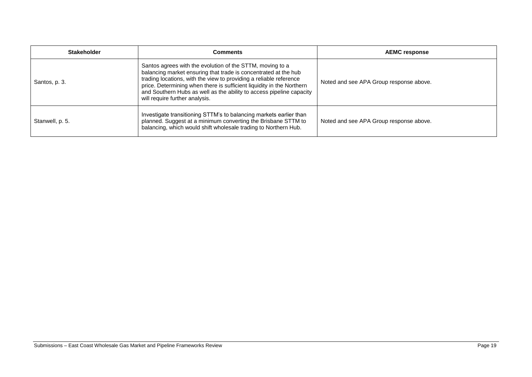| <b>Stakeholder</b> | Comments                                                                                                                                                                                                                                                                                                                                                                              | <b>AEMC response</b>                    |
|--------------------|---------------------------------------------------------------------------------------------------------------------------------------------------------------------------------------------------------------------------------------------------------------------------------------------------------------------------------------------------------------------------------------|-----------------------------------------|
| Santos, p. 3.      | Santos agrees with the evolution of the STTM, moving to a<br>balancing market ensuring that trade is concentrated at the hub<br>trading locations, with the view to providing a reliable reference<br>price. Determining when there is sufficient liquidity in the Northern<br>and Southern Hubs as well as the ability to access pipeline capacity<br>will require further analysis. | Noted and see APA Group response above. |
| Stanwell, p. 5.    | Investigate transitioning STTM's to balancing markets earlier than<br>planned. Suggest at a minimum converting the Brisbane STTM to<br>balancing, which would shift wholesale trading to Northern Hub.                                                                                                                                                                                | Noted and see APA Group response above. |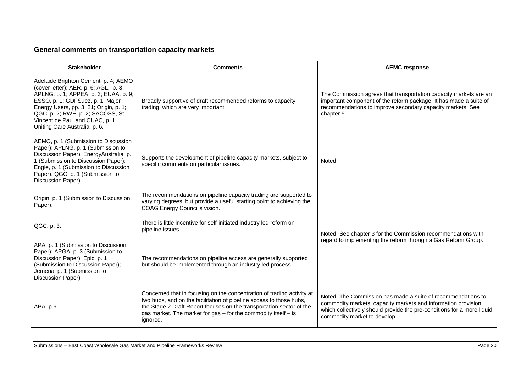## **General comments on transportation capacity markets**

| <b>Stakeholder</b>                                                                                                                                                                                                                                                                                           | <b>Comments</b>                                                                                                                                                                                                                                                                                     | <b>AEMC response</b>                                                                                                                                                                                                                    |
|--------------------------------------------------------------------------------------------------------------------------------------------------------------------------------------------------------------------------------------------------------------------------------------------------------------|-----------------------------------------------------------------------------------------------------------------------------------------------------------------------------------------------------------------------------------------------------------------------------------------------------|-----------------------------------------------------------------------------------------------------------------------------------------------------------------------------------------------------------------------------------------|
| Adelaide Brighton Cement, p. 4; AEMO<br>(cover letter); AER, p. 6; AGL, p. 3;<br>APLNG, p. 1; APPEA, p. 3; EUAA, p. 9;<br>ESSO, p. 1; GDFSuez, p. 1; Major<br>Energy Users, pp. 3, 21; Origin, p. 1;<br>QGC, p. 2; RWE, p. 2; SACOSS, St<br>Vincent de Paul and CUAC, p. 1;<br>Uniting Care Australia, p. 6. | Broadly supportive of draft recommended reforms to capacity<br>trading, which are very important.                                                                                                                                                                                                   | The Commission agrees that transportation capacity markets are an<br>important component of the reform package. It has made a suite of<br>recommendations to improve secondary capacity markets. See<br>chapter 5.                      |
| AEMO, p. 1 (Submission to Discussion<br>Paper); APLNG, p. 1 (Submission to<br>Discussion Paper); EnergyAustralia, p.<br>1 (Submission to Discussion Paper);<br>Engie, p. 1 (Submission to Discussion<br>Paper). QGC, p. 1 (Submission to<br>Discussion Paper).                                               | Supports the development of pipeline capacity markets, subject to<br>specific comments on particular issues.                                                                                                                                                                                        | Noted.                                                                                                                                                                                                                                  |
| Origin, p. 1 (Submission to Discussion<br>Paper).                                                                                                                                                                                                                                                            | The recommendations on pipeline capacity trading are supported to<br>varying degrees, but provide a useful starting point to achieving the<br>COAG Energy Council's vision.                                                                                                                         | Noted. See chapter 3 for the Commission recommendations with<br>regard to implementing the reform through a Gas Reform Group.                                                                                                           |
| QGC, p. 3.                                                                                                                                                                                                                                                                                                   | There is little incentive for self-initiated industry led reform on<br>pipeline issues.                                                                                                                                                                                                             |                                                                                                                                                                                                                                         |
| APA, p. 1 (Submission to Discussion<br>Paper); APGA, p. 3 (Submission to<br>Discussion Paper); Epic, p. 1<br>(Submission to Discussion Paper);<br>Jemena, p. 1 (Submission to<br>Discussion Paper).                                                                                                          | The recommendations on pipeline access are generally supported<br>but should be implemented through an industry led process.                                                                                                                                                                        |                                                                                                                                                                                                                                         |
| APA, p.6.                                                                                                                                                                                                                                                                                                    | Concerned that in focusing on the concentration of trading activity at<br>two hubs, and on the facilitation of pipeline access to those hubs,<br>the Stage 2 Draft Report focuses on the transportation sector of the<br>gas market. The market for gas - for the commodity itself - is<br>ignored. | Noted. The Commission has made a suite of recommendations to<br>commodity markets, capacity markets and information provision<br>which collectively should provide the pre-conditions for a more liquid<br>commodity market to develop. |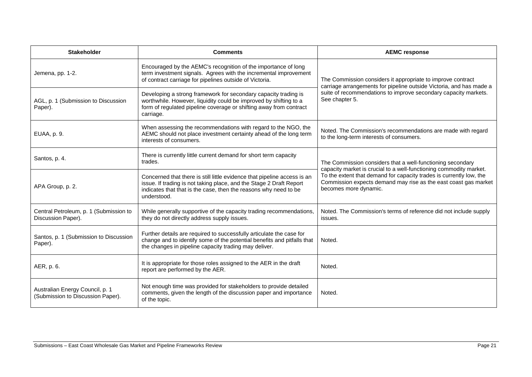| <b>Stakeholder</b>                                                   | <b>Comments</b>                                                                                                                                                                                                                    | <b>AEMC response</b>                                                                                                                                                                                                                                                                                |
|----------------------------------------------------------------------|------------------------------------------------------------------------------------------------------------------------------------------------------------------------------------------------------------------------------------|-----------------------------------------------------------------------------------------------------------------------------------------------------------------------------------------------------------------------------------------------------------------------------------------------------|
| Jemena, pp. 1-2.                                                     | Encouraged by the AEMC's recognition of the importance of long<br>term investment signals. Agrees with the incremental improvement<br>of contract carriage for pipelines outside of Victoria.                                      | The Commission considers it appropriate to improve contract<br>carriage arrangements for pipeline outside Victoria, and has made a<br>suite of recommendations to improve secondary capacity markets.<br>See chapter 5.                                                                             |
| AGL, p. 1 (Submission to Discussion<br>Paper).                       | Developing a strong framework for secondary capacity trading is<br>worthwhile. However, liquidity could be improved by shifting to a<br>form of regulated pipeline coverage or shifting away from contract<br>carriage.            |                                                                                                                                                                                                                                                                                                     |
| EUAA, p. 9.                                                          | When assessing the recommendations with regard to the NGO, the<br>AEMC should not place investment certainty ahead of the long term<br>interests of consumers.                                                                     | Noted. The Commission's recommendations are made with regard<br>to the long-term interests of consumers.                                                                                                                                                                                            |
| Santos, p. 4.                                                        | There is currently little current demand for short term capacity<br>trades.                                                                                                                                                        | The Commission considers that a well-functioning secondary<br>capacity market is crucial to a well-functioning commodity market.<br>To the extent that demand for capacity trades is currently low, the<br>Commission expects demand may rise as the east coast gas market<br>becomes more dynamic. |
| APA Group, p. 2.                                                     | Concerned that there is still little evidence that pipeline access is an<br>issue. If trading is not taking place, and the Stage 2 Draft Report<br>indicates that that is the case, then the reasons why need to be<br>understood. |                                                                                                                                                                                                                                                                                                     |
| Central Petroleum, p. 1 (Submission to<br>Discussion Paper).         | While generally supportive of the capacity trading recommendations,<br>they do not directly address supply issues.                                                                                                                 | Noted. The Commission's terms of reference did not include supply<br>issues.                                                                                                                                                                                                                        |
| Santos, p. 1 (Submission to Discussion<br>Paper).                    | Further details are required to successfully articulate the case for<br>change and to identify some of the potential benefits and pitfalls that<br>the changes in pipeline capacity trading may deliver.                           | Noted.                                                                                                                                                                                                                                                                                              |
| AER, p. 6.                                                           | It is appropriate for those roles assigned to the AER in the draft<br>report are performed by the AER.                                                                                                                             | Noted.                                                                                                                                                                                                                                                                                              |
| Australian Energy Council, p. 1<br>(Submission to Discussion Paper). | Not enough time was provided for stakeholders to provide detailed<br>comments, given the length of the discussion paper and importance<br>of the topic.                                                                            | Noted.                                                                                                                                                                                                                                                                                              |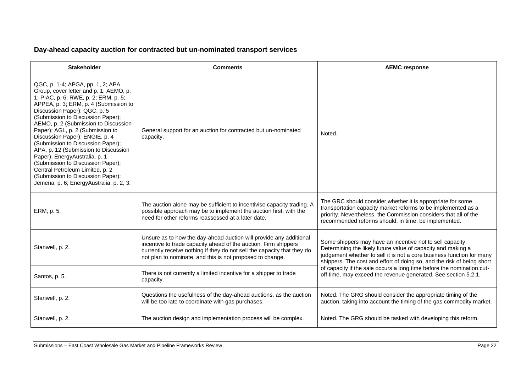### **Day-ahead capacity auction for contracted but un-nominated transport services**

| <b>Stakeholder</b>                                                                                                                                                                                                                                                                                                                                                                                                                                                                                                                                                                                                   | <b>Comments</b>                                                                                                                                                                                                                                                               | <b>AEMC response</b>                                                                                                                                                                                                                                                         |
|----------------------------------------------------------------------------------------------------------------------------------------------------------------------------------------------------------------------------------------------------------------------------------------------------------------------------------------------------------------------------------------------------------------------------------------------------------------------------------------------------------------------------------------------------------------------------------------------------------------------|-------------------------------------------------------------------------------------------------------------------------------------------------------------------------------------------------------------------------------------------------------------------------------|------------------------------------------------------------------------------------------------------------------------------------------------------------------------------------------------------------------------------------------------------------------------------|
| QGC, p. 1-4; APGA, pp. 1, 2; APA<br>Group, cover letter and p. 1; AEMO, p.<br>1; PIAC, p. 6; RWE, p. 2; ERM, p. 5;<br>APPEA, p. 3; ERM, p. 4 (Submission to<br>Discussion Paper); QGC, p. 5<br>(Submission to Discussion Paper);<br>AEMO, p. 2 (Submission to Discussion<br>Paper); AGL, p. 2 (Submission to<br>Discussion Paper); ENGIE, p. 4<br>(Submission to Discussion Paper);<br>APA, p. 12 (Submission to Discussion<br>Paper); EnergyAustralia, p. 1<br>(Submission to Discussion Paper);<br>Central Petroleum Limited, p. 2<br>(Submission to Discussion Paper);<br>Jemena, p. 6; EnergyAustralia, p. 2, 3. | General support for an auction for contracted but un-nominated<br>capacity.                                                                                                                                                                                                   | Noted.                                                                                                                                                                                                                                                                       |
| ERM, p. 5.                                                                                                                                                                                                                                                                                                                                                                                                                                                                                                                                                                                                           | The auction alone may be sufficient to incentivise capacity trading. A<br>possible approach may be to implement the auction first, with the<br>need for other reforms reassessed at a later date.                                                                             | The GRC should consider whether it is appropriate for some<br>transportation capacity market reforms to be implemented as a<br>priority. Nevertheless, the Commission considers that all of the<br>recommended reforms should, in time, be implemented.                      |
| Stanwell, p. 2.                                                                                                                                                                                                                                                                                                                                                                                                                                                                                                                                                                                                      | Unsure as to how the day-ahead auction will provide any additional<br>incentive to trade capacity ahead of the auction. Firm shippers<br>currently receive nothing if they do not sell the capacity that they do<br>not plan to nominate, and this is not proposed to change. | Some shippers may have an incentive not to sell capacity.<br>Determining the likely future value of capacity and making a<br>judgement whether to sell it is not a core business function for many<br>shippers. The cost and effort of doing so, and the risk of being short |
| Santos, p. 5.                                                                                                                                                                                                                                                                                                                                                                                                                                                                                                                                                                                                        | There is not currently a limited incentive for a shipper to trade<br>capacity.                                                                                                                                                                                                | of capacity if the sale occurs a long time before the nomination cut-<br>off time, may exceed the revenue generated. See section 5.2.1.                                                                                                                                      |
| Stanwell, p. 2.                                                                                                                                                                                                                                                                                                                                                                                                                                                                                                                                                                                                      | Questions the usefulness of the day-ahead auctions, as the auction<br>will be too late to coordinate with gas purchases.                                                                                                                                                      | Noted. The GRG should consider the appropriate timing of the<br>auction, taking into account the timing of the gas commodity market.                                                                                                                                         |
| Stanwell, p. 2.                                                                                                                                                                                                                                                                                                                                                                                                                                                                                                                                                                                                      | The auction design and implementation process will be complex.                                                                                                                                                                                                                | Noted. The GRG should be tasked with developing this reform.                                                                                                                                                                                                                 |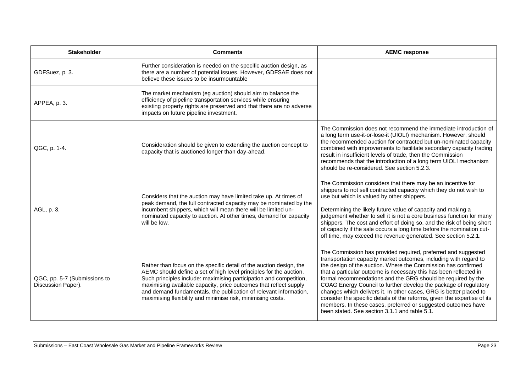| <b>Stakeholder</b>                                 | <b>Comments</b>                                                                                                                                                                                                                                                                                                                                                                                                          | <b>AEMC response</b>                                                                                                                                                                                                                                                                                                                                                                                                                                                                                                                                                                                                                                                             |
|----------------------------------------------------|--------------------------------------------------------------------------------------------------------------------------------------------------------------------------------------------------------------------------------------------------------------------------------------------------------------------------------------------------------------------------------------------------------------------------|----------------------------------------------------------------------------------------------------------------------------------------------------------------------------------------------------------------------------------------------------------------------------------------------------------------------------------------------------------------------------------------------------------------------------------------------------------------------------------------------------------------------------------------------------------------------------------------------------------------------------------------------------------------------------------|
| GDFSuez, p. 3.                                     | Further consideration is needed on the specific auction design, as<br>there are a number of potential issues. However, GDFSAE does not<br>believe these issues to be insurmountable                                                                                                                                                                                                                                      |                                                                                                                                                                                                                                                                                                                                                                                                                                                                                                                                                                                                                                                                                  |
| APPEA, p. 3.                                       | The market mechanism (eg auction) should aim to balance the<br>efficiency of pipeline transportation services while ensuring<br>existing property rights are preserved and that there are no adverse<br>impacts on future pipeline investment.                                                                                                                                                                           |                                                                                                                                                                                                                                                                                                                                                                                                                                                                                                                                                                                                                                                                                  |
| QGC, p. 1-4.                                       | Consideration should be given to extending the auction concept to<br>capacity that is auctioned longer than day-ahead.                                                                                                                                                                                                                                                                                                   | The Commission does not recommend the immediate introduction of<br>a long term use-it-or-lose-it (UIOLI) mechanism. However, should<br>the recommended auction for contracted but un-nominated capacity<br>combined with improvements to facilitate secondary capacity trading<br>result in insufficient levels of trade, then the Commission<br>recommends that the introduction of a long term UIOLI mechanism<br>should be re-considered. See section 5.2.3.                                                                                                                                                                                                                  |
| AGL, p. 3.                                         | Considers that the auction may have limited take up. At times of<br>peak demand, the full contracted capacity may be nominated by the<br>incumbent shippers, which will mean there will be limited un-<br>nominated capacity to auction. At other times, demand for capacity<br>will be low.                                                                                                                             | The Commission considers that there may be an incentive for<br>shippers to not sell contracted capacity which they do not wish to<br>use but which is valued by other shippers.<br>Determining the likely future value of capacity and making a<br>judgement whether to sell it is not a core business function for many<br>shippers. The cost and effort of doing so, and the risk of being short<br>of capacity if the sale occurs a long time before the nomination cut-<br>off time, may exceed the revenue generated. See section 5.2.1.                                                                                                                                    |
| QGC, pp. 5-7 (Submissions to<br>Discussion Paper). | Rather than focus on the specific detail of the auction design, the<br>AEMC should define a set of high level principles for the auction.<br>Such principles include: maximising participation and competition,<br>maximising available capacity, price outcomes that reflect supply<br>and demand fundamentals, the publication of relevant information,<br>maximising flexibility and minimise risk, minimising costs. | The Commission has provided required, preferred and suggested<br>transportation capacity market outcomes, including with regard to<br>the design of the auction. Where the Commission has confirmed<br>that a particular outcome is necessary this has been reflected in<br>formal recommendations and the GRG should be required by the<br>COAG Energy Council to further develop the package of regulatory<br>changes which delivers it. In other cases, GRG is better placed to<br>consider the specific details of the reforms, given the expertise of its<br>members. In these cases, preferred or suggested outcomes have<br>been stated. See section 3.1.1 and table 5.1. |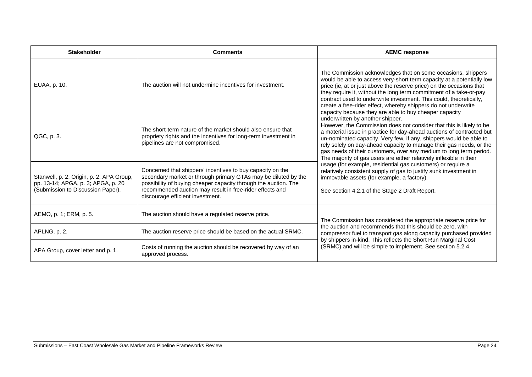| <b>Stakeholder</b>                                                                                                  | <b>Comments</b>                                                                                                                                                                                                                                                                                 | <b>AEMC response</b>                                                                                                                                                                                                                                                                                                                                                                                                                                                                                                                                                                                                                                                                                                                                                                                                                                                                                                                                                                                                                                                                                                                                                                                    |
|---------------------------------------------------------------------------------------------------------------------|-------------------------------------------------------------------------------------------------------------------------------------------------------------------------------------------------------------------------------------------------------------------------------------------------|---------------------------------------------------------------------------------------------------------------------------------------------------------------------------------------------------------------------------------------------------------------------------------------------------------------------------------------------------------------------------------------------------------------------------------------------------------------------------------------------------------------------------------------------------------------------------------------------------------------------------------------------------------------------------------------------------------------------------------------------------------------------------------------------------------------------------------------------------------------------------------------------------------------------------------------------------------------------------------------------------------------------------------------------------------------------------------------------------------------------------------------------------------------------------------------------------------|
| EUAA, p. 10.                                                                                                        | The auction will not undermine incentives for investment.                                                                                                                                                                                                                                       | The Commission acknowledges that on some occasions, shippers<br>would be able to access very-short term capacity at a potentially low<br>price (ie, at or just above the reserve price) on the occasions that<br>they require it, without the long term commitment of a take-or-pay<br>contract used to underwrite investment. This could, theoretically,<br>create a free-rider effect, whereby shippers do not underwrite<br>capacity because they are able to buy cheaper capacity<br>underwritten by another shipper.<br>However, the Commission does not consider that this is likely to be<br>a material issue in practice for day-ahead auctions of contracted but<br>un-nominated capacity. Very few, if any, shippers would be able to<br>rely solely on day-ahead capacity to manage their gas needs, or the<br>gas needs of their customers, over any medium to long term period.<br>The majority of gas users are either relatively inflexible in their<br>usage (for example, residential gas customers) or require a<br>relatively consistent supply of gas to justify sunk investment in<br>immovable assets (for example, a factory).<br>See section 4.2.1 of the Stage 2 Draft Report. |
| QGC, p. 3.                                                                                                          | The short-term nature of the market should also ensure that<br>propriety rights and the incentives for long-term investment in<br>pipelines are not compromised.                                                                                                                                |                                                                                                                                                                                                                                                                                                                                                                                                                                                                                                                                                                                                                                                                                                                                                                                                                                                                                                                                                                                                                                                                                                                                                                                                         |
| Stanwell, p. 2; Origin, p. 2; APA Group,<br>pp. 13-14; APGA, p. 3; APGA, p. 20<br>(Submission to Discussion Paper). | Concerned that shippers' incentives to buy capacity on the<br>secondary market or through primary GTAs may be diluted by the<br>possibility of buying cheaper capacity through the auction. The<br>recommended auction may result in free-rider effects and<br>discourage efficient investment. |                                                                                                                                                                                                                                                                                                                                                                                                                                                                                                                                                                                                                                                                                                                                                                                                                                                                                                                                                                                                                                                                                                                                                                                                         |
| AEMO, p. 1; ERM, p. 5.                                                                                              | The auction should have a regulated reserve price.                                                                                                                                                                                                                                              | The Commission has considered the appropriate reserve price for                                                                                                                                                                                                                                                                                                                                                                                                                                                                                                                                                                                                                                                                                                                                                                                                                                                                                                                                                                                                                                                                                                                                         |
| APLNG, p. 2.                                                                                                        | The auction reserve price should be based on the actual SRMC.                                                                                                                                                                                                                                   | the auction and recommends that this should be zero, with<br>compressor fuel to transport gas along capacity purchased provided<br>by shippers in-kind. This reflects the Short Run Marginal Cost<br>(SRMC) and will be simple to implement. See section 5.2.4.                                                                                                                                                                                                                                                                                                                                                                                                                                                                                                                                                                                                                                                                                                                                                                                                                                                                                                                                         |
| APA Group, cover letter and p. 1.                                                                                   | Costs of running the auction should be recovered by way of an<br>approved process.                                                                                                                                                                                                              |                                                                                                                                                                                                                                                                                                                                                                                                                                                                                                                                                                                                                                                                                                                                                                                                                                                                                                                                                                                                                                                                                                                                                                                                         |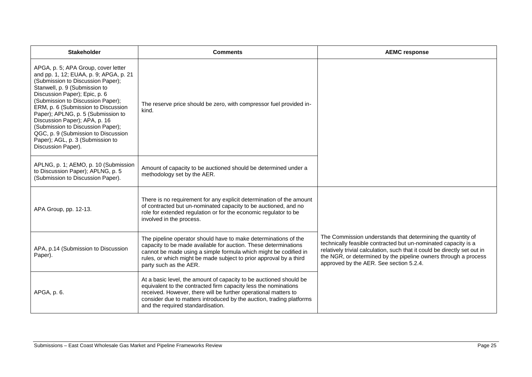| <b>Stakeholder</b>                                                                                                                                                                                                                                                                                                                                                                                                                                                            | <b>Comments</b>                                                                                                                                                                                                                                                                                                       | <b>AEMC response</b>                                                                                                                                                                                                                                                                                                     |
|-------------------------------------------------------------------------------------------------------------------------------------------------------------------------------------------------------------------------------------------------------------------------------------------------------------------------------------------------------------------------------------------------------------------------------------------------------------------------------|-----------------------------------------------------------------------------------------------------------------------------------------------------------------------------------------------------------------------------------------------------------------------------------------------------------------------|--------------------------------------------------------------------------------------------------------------------------------------------------------------------------------------------------------------------------------------------------------------------------------------------------------------------------|
| APGA, p. 5; APA Group, cover letter<br>and pp. 1, 12; EUAA, p. 9; APGA, p. 21<br>(Submission to Discussion Paper);<br>Stanwell, p. 9 (Submission to<br>Discussion Paper); Epic, p. 6<br>(Submission to Discussion Paper);<br>ERM, p. 6 (Submission to Discussion<br>Paper); APLNG, p. 5 (Submission to<br>Discussion Paper); APA, p. 16<br>(Submission to Discussion Paper);<br>QGC, p. 9 (Submission to Discussion<br>Paper); AGL, p. 3 (Submission to<br>Discussion Paper). | The reserve price should be zero, with compressor fuel provided in-<br>kind.                                                                                                                                                                                                                                          |                                                                                                                                                                                                                                                                                                                          |
| APLNG, p. 1; AEMO, p. 10 (Submission<br>to Discussion Paper); APLNG, p. 5<br>(Submission to Discussion Paper).                                                                                                                                                                                                                                                                                                                                                                | Amount of capacity to be auctioned should be determined under a<br>methodology set by the AER.                                                                                                                                                                                                                        |                                                                                                                                                                                                                                                                                                                          |
| APA Group, pp. 12-13.                                                                                                                                                                                                                                                                                                                                                                                                                                                         | There is no requirement for any explicit determination of the amount<br>of contracted but un-nominated capacity to be auctioned, and no<br>role for extended regulation or for the economic regulator to be<br>involved in the process.                                                                               |                                                                                                                                                                                                                                                                                                                          |
| APA, p.14 (Submission to Discussion<br>Paper).                                                                                                                                                                                                                                                                                                                                                                                                                                | The pipeline operator should have to make determinations of the<br>capacity to be made available for auction. These determinations<br>cannot be made using a simple formula which might be codified in<br>rules, or which might be made subject to prior approval by a third<br>party such as the AER.                | The Commission understands that determining the quantity of<br>technically feasible contracted but un-nominated capacity is a<br>relatively trivial calculation, such that it could be directly set out in<br>the NGR, or determined by the pipeline owners through a process<br>approved by the AER. See section 5.2.4. |
| APGA, p. 6.                                                                                                                                                                                                                                                                                                                                                                                                                                                                   | At a basic level, the amount of capacity to be auctioned should be<br>equivalent to the contracted firm capacity less the nominations<br>received. However, there will be further operational matters to<br>consider due to matters introduced by the auction, trading platforms<br>and the required standardisation. |                                                                                                                                                                                                                                                                                                                          |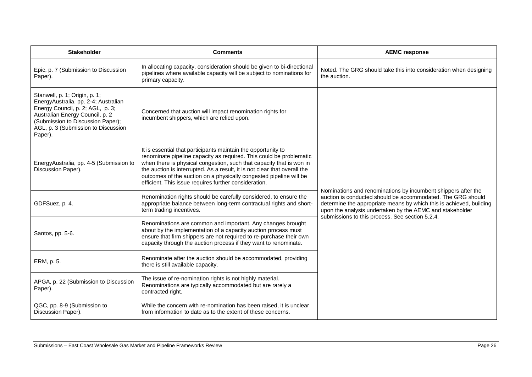| <b>Stakeholder</b>                                                                                                                                                                                                                  | <b>Comments</b>                                                                                                                                                                                                                                                                                                                                                                                                          | <b>AEMC response</b>                                                                                                                                                                                                                                            |
|-------------------------------------------------------------------------------------------------------------------------------------------------------------------------------------------------------------------------------------|--------------------------------------------------------------------------------------------------------------------------------------------------------------------------------------------------------------------------------------------------------------------------------------------------------------------------------------------------------------------------------------------------------------------------|-----------------------------------------------------------------------------------------------------------------------------------------------------------------------------------------------------------------------------------------------------------------|
| Epic, p. 7 (Submission to Discussion<br>Paper).                                                                                                                                                                                     | In allocating capacity, consideration should be given to bi-directional<br>pipelines where available capacity will be subject to nominations for<br>primary capacity.                                                                                                                                                                                                                                                    | Noted. The GRG should take this into consideration when designing<br>the auction.                                                                                                                                                                               |
| Stanwell, p. 1; Origin, p. 1;<br>EnergyAustralia, pp. 2-4; Australian<br>Energy Council, p. 2; AGL, p. 3;<br>Australian Energy Council, p. 2<br>(Submission to Discussion Paper);<br>AGL, p. 3 (Submission to Discussion<br>Paper). | Concerned that auction will impact renomination rights for<br>incumbent shippers, which are relied upon.                                                                                                                                                                                                                                                                                                                 | Nominations and renominations by incumbent shippers after the<br>auction is conducted should be accommodated. The GRG should<br>determine the appropriate means by which this is achieved, building<br>upon the analysis undertaken by the AEMC and stakeholder |
| EnergyAustralia, pp. 4-5 (Submission to<br>Discussion Paper).                                                                                                                                                                       | It is essential that participants maintain the opportunity to<br>renominate pipeline capacity as required. This could be problematic<br>when there is physical congestion, such that capacity that is won in<br>the auction is interrupted. As a result, it is not clear that overall the<br>outcomes of the auction on a physically congested pipeline will be<br>efficient. This issue requires further consideration. |                                                                                                                                                                                                                                                                 |
| GDFSuez, p. 4.                                                                                                                                                                                                                      | Renomination rights should be carefully considered, to ensure the<br>appropriate balance between long-term contractual rights and short-<br>term trading incentives.                                                                                                                                                                                                                                                     |                                                                                                                                                                                                                                                                 |
| Santos, pp. 5-6.                                                                                                                                                                                                                    | Renominations are common and important. Any changes brought<br>about by the implementation of a capacity auction process must<br>ensure that firm shippers are not required to re-purchase their own<br>capacity through the auction process if they want to renominate.                                                                                                                                                 | submissions to this process. See section 5.2.4.                                                                                                                                                                                                                 |
| ERM, p. 5.                                                                                                                                                                                                                          | Renominate after the auction should be accommodated, providing<br>there is still available capacity.                                                                                                                                                                                                                                                                                                                     |                                                                                                                                                                                                                                                                 |
| APGA, p. 22 (Submission to Discussion<br>Paper).                                                                                                                                                                                    | The issue of re-nomination rights is not highly material.<br>Renominations are typically accommodated but are rarely a<br>contracted right.                                                                                                                                                                                                                                                                              |                                                                                                                                                                                                                                                                 |
| QGC, pp. 8-9 (Submission to<br>Discussion Paper).                                                                                                                                                                                   | While the concern with re-nomination has been raised, it is unclear<br>from information to date as to the extent of these concerns.                                                                                                                                                                                                                                                                                      |                                                                                                                                                                                                                                                                 |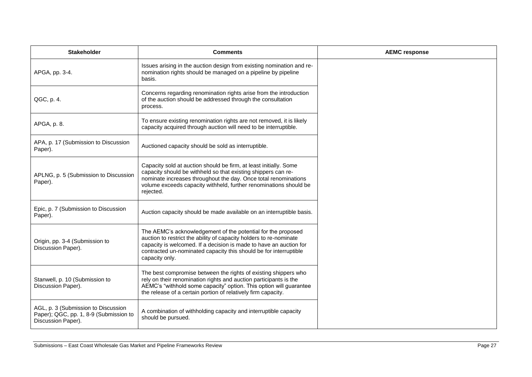| <b>Stakeholder</b>                                                                                  | <b>Comments</b>                                                                                                                                                                                                                                                                                 | <b>AEMC response</b> |
|-----------------------------------------------------------------------------------------------------|-------------------------------------------------------------------------------------------------------------------------------------------------------------------------------------------------------------------------------------------------------------------------------------------------|----------------------|
| APGA, pp. 3-4.                                                                                      | Issues arising in the auction design from existing nomination and re-<br>nomination rights should be managed on a pipeline by pipeline<br>basis.                                                                                                                                                |                      |
| QGC, p. 4.                                                                                          | Concerns regarding renomination rights arise from the introduction<br>of the auction should be addressed through the consultation<br>process.                                                                                                                                                   |                      |
| APGA, p. 8.                                                                                         | To ensure existing renomination rights are not removed, it is likely<br>capacity acquired through auction will need to be interruptible.                                                                                                                                                        |                      |
| APA, p. 17 (Submission to Discussion<br>Paper).                                                     | Auctioned capacity should be sold as interruptible.                                                                                                                                                                                                                                             |                      |
| APLNG, p. 5 (Submission to Discussion<br>Paper).                                                    | Capacity sold at auction should be firm, at least initially. Some<br>capacity should be withheld so that existing shippers can re-<br>nominate increases throughout the day. Once total renominations<br>volume exceeds capacity withheld, further renominations should be<br>rejected.         |                      |
| Epic, p. 7 (Submission to Discussion<br>Paper).                                                     | Auction capacity should be made available on an interruptible basis.                                                                                                                                                                                                                            |                      |
| Origin, pp. 3-4 (Submission to<br>Discussion Paper).                                                | The AEMC's acknowledgement of the potential for the proposed<br>auction to restrict the ability of capacity holders to re-nominate<br>capacity is welcomed. If a decision is made to have an auction for<br>contracted un-nominated capacity this should be for interruptible<br>capacity only. |                      |
| Stanwell, p. 10 (Submission to<br>Discussion Paper).                                                | The best compromise between the rights of existing shippers who<br>rely on their renomination rights and auction participants is the<br>AEMC's "withhold some capacity" option. This option will guarantee<br>the release of a certain portion of relatively firm capacity.                     |                      |
| AGL, p. 3 (Submission to Discussion<br>Paper); QGC, pp. 1, 8-9 (Submission to<br>Discussion Paper). | A combination of withholding capacity and interruptible capacity<br>should be pursued.                                                                                                                                                                                                          |                      |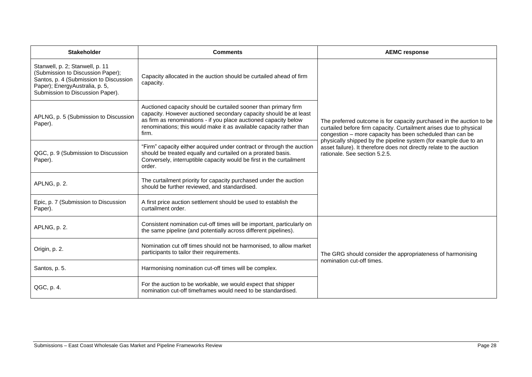| <b>Stakeholder</b>                                                                                                                                                                   | <b>Comments</b>                                                                                                                                                                                                                                                                          | <b>AEMC response</b>                                                                                                                                                                                                                                                                                                                                                                 |
|--------------------------------------------------------------------------------------------------------------------------------------------------------------------------------------|------------------------------------------------------------------------------------------------------------------------------------------------------------------------------------------------------------------------------------------------------------------------------------------|--------------------------------------------------------------------------------------------------------------------------------------------------------------------------------------------------------------------------------------------------------------------------------------------------------------------------------------------------------------------------------------|
| Stanwell, p. 2; Stanwell, p. 11<br>(Submission to Discussion Paper);<br>Santos, p. 4 (Submission to Discussion<br>Paper); EnergyAustralia, p. 5,<br>Submission to Discussion Paper). | Capacity allocated in the auction should be curtailed ahead of firm<br>capacity.                                                                                                                                                                                                         | The preferred outcome is for capacity purchased in the auction to be<br>curtailed before firm capacity. Curtailment arises due to physical<br>congestion - more capacity has been scheduled than can be<br>physically shipped by the pipeline system (for example due to an<br>asset failure). It therefore does not directly relate to the auction<br>rationale. See section 5.2.5. |
| APLNG, p. 5 (Submission to Discussion<br>Paper).                                                                                                                                     | Auctioned capacity should be curtailed sooner than primary firm<br>capacity. However auctioned secondary capacity should be at least<br>as firm as renominations - if you place auctioned capacity below<br>renominations; this would make it as available capacity rather than<br>firm. |                                                                                                                                                                                                                                                                                                                                                                                      |
| QGC, p. 9 (Submission to Discussion<br>Paper).                                                                                                                                       | "Firm" capacity either acquired under contract or through the auction<br>should be treated equally and curtailed on a prorated basis.<br>Conversely, interruptible capacity would be first in the curtailment<br>order.                                                                  |                                                                                                                                                                                                                                                                                                                                                                                      |
| APLNG, p. 2.                                                                                                                                                                         | The curtailment priority for capacity purchased under the auction<br>should be further reviewed, and standardised.                                                                                                                                                                       |                                                                                                                                                                                                                                                                                                                                                                                      |
| Epic, p. 7 (Submission to Discussion<br>Paper).                                                                                                                                      | A first price auction settlement should be used to establish the<br>curtailment order.                                                                                                                                                                                                   |                                                                                                                                                                                                                                                                                                                                                                                      |
| APLNG, p. 2.                                                                                                                                                                         | Consistent nomination cut-off times will be important, particularly on<br>the same pipeline (and potentially across different pipelines).                                                                                                                                                |                                                                                                                                                                                                                                                                                                                                                                                      |
| Origin, p. 2.                                                                                                                                                                        | Nomination cut off times should not be harmonised, to allow market<br>participants to tailor their requirements.                                                                                                                                                                         | The GRG should consider the appropriateness of harmonising<br>nomination cut-off times.                                                                                                                                                                                                                                                                                              |
| Santos, p. 5.                                                                                                                                                                        | Harmonising nomination cut-off times will be complex.                                                                                                                                                                                                                                    |                                                                                                                                                                                                                                                                                                                                                                                      |
| QGC, p. 4.                                                                                                                                                                           | For the auction to be workable, we would expect that shipper<br>nomination cut-off timeframes would need to be standardised.                                                                                                                                                             |                                                                                                                                                                                                                                                                                                                                                                                      |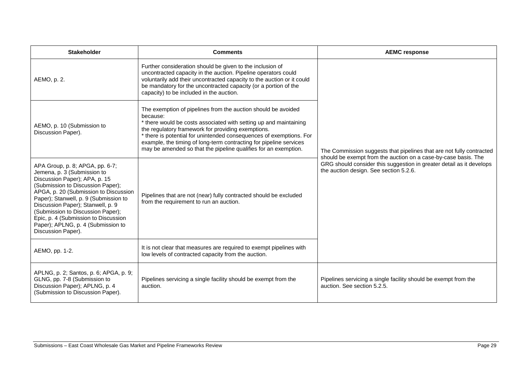| <b>Stakeholder</b>                                                                                                                                                                                                                                                                                                                                                                                   | <b>Comments</b>                                                                                                                                                                                                                                                                                                                                                                                                      | <b>AEMC response</b>                                                                                                                   |
|------------------------------------------------------------------------------------------------------------------------------------------------------------------------------------------------------------------------------------------------------------------------------------------------------------------------------------------------------------------------------------------------------|----------------------------------------------------------------------------------------------------------------------------------------------------------------------------------------------------------------------------------------------------------------------------------------------------------------------------------------------------------------------------------------------------------------------|----------------------------------------------------------------------------------------------------------------------------------------|
| AEMO, p. 2.                                                                                                                                                                                                                                                                                                                                                                                          | Further consideration should be given to the inclusion of<br>uncontracted capacity in the auction. Pipeline operators could<br>voluntarily add their uncontracted capacity to the auction or it could<br>be mandatory for the uncontracted capacity (or a portion of the<br>capacity) to be included in the auction.                                                                                                 |                                                                                                                                        |
| AEMO, p. 10 (Submission to<br>Discussion Paper).                                                                                                                                                                                                                                                                                                                                                     | The exemption of pipelines from the auction should be avoided<br>because:<br>* there would be costs associated with setting up and maintaining<br>the regulatory framework for providing exemptions.<br>* there is potential for unintended consequences of exemptions. For<br>example, the timing of long-term contracting for pipeline services<br>may be amended so that the pipeline qualifies for an exemption. | The Commission suggests that pipelines that are not fully contracted<br>should be exempt from the auction on a case-by-case basis. The |
| APA Group, p. 8; APGA, pp. 6-7;<br>Jemena, p. 3 (Submission to<br>Discussion Paper); APA, p. 15<br>(Submission to Discussion Paper);<br>APGA, p. 20 (Submission to Discussion<br>Paper); Stanwell, p. 9 (Submission to<br>Discussion Paper); Stanwell, p. 9<br>(Submission to Discussion Paper);<br>Epic, p. 4 (Submission to Discussion<br>Paper); APLNG, p. 4 (Submission to<br>Discussion Paper). | Pipelines that are not (near) fully contracted should be excluded<br>from the requirement to run an auction.                                                                                                                                                                                                                                                                                                         | GRG should consider this suggestion in greater detail as it develops<br>the auction design. See section 5.2.6.                         |
| AEMO, pp. 1-2.                                                                                                                                                                                                                                                                                                                                                                                       | It is not clear that measures are required to exempt pipelines with<br>low levels of contracted capacity from the auction.                                                                                                                                                                                                                                                                                           |                                                                                                                                        |
| APLNG, p. 2; Santos, p. 6; APGA, p. 9;<br>GLNG, pp. 7-8 (Submission to<br>Discussion Paper); APLNG, p. 4<br>(Submission to Discussion Paper).                                                                                                                                                                                                                                                        | Pipelines servicing a single facility should be exempt from the<br>auction.                                                                                                                                                                                                                                                                                                                                          | Pipelines servicing a single facility should be exempt from the<br>auction. See section 5.2.5.                                         |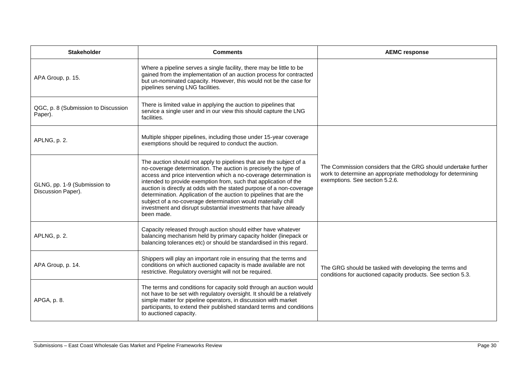| <b>Stakeholder</b>                                 | <b>Comments</b>                                                                                                                                                                                                                                                                                                                                                                                                                                                                                                                                                                     | <b>AEMC response</b>                                                                                                                                             |
|----------------------------------------------------|-------------------------------------------------------------------------------------------------------------------------------------------------------------------------------------------------------------------------------------------------------------------------------------------------------------------------------------------------------------------------------------------------------------------------------------------------------------------------------------------------------------------------------------------------------------------------------------|------------------------------------------------------------------------------------------------------------------------------------------------------------------|
| APA Group, p. 15.                                  | Where a pipeline serves a single facility, there may be little to be<br>gained from the implementation of an auction process for contracted<br>but un-nominated capacity. However, this would not be the case for<br>pipelines serving LNG facilities.                                                                                                                                                                                                                                                                                                                              |                                                                                                                                                                  |
| QGC, p. 8 (Submission to Discussion<br>Paper).     | There is limited value in applying the auction to pipelines that<br>service a single user and in our view this should capture the LNG<br>facilities.                                                                                                                                                                                                                                                                                                                                                                                                                                |                                                                                                                                                                  |
| APLNG, p. 2.                                       | Multiple shipper pipelines, including those under 15-year coverage<br>exemptions should be required to conduct the auction.                                                                                                                                                                                                                                                                                                                                                                                                                                                         |                                                                                                                                                                  |
| GLNG, pp. 1-9 (Submission to<br>Discussion Paper). | The auction should not apply to pipelines that are the subject of a<br>no-coverage determination. The auction is precisely the type of<br>access and price intervention which a no-coverage determination is<br>intended to provide exemption from, such that application of the<br>auction is directly at odds with the stated purpose of a non-coverage<br>determination. Application of the auction to pipelines that are the<br>subject of a no-coverage determination would materially chill<br>investment and disrupt substantial investments that have already<br>been made. | The Commission considers that the GRG should undertake further<br>work to determine an appropriate methodology for determining<br>exemptions. See section 5.2.6. |
| APLNG, p. 2.                                       | Capacity released through auction should either have whatever<br>balancing mechanism held by primary capacity holder (linepack or<br>balancing tolerances etc) or should be standardised in this regard.                                                                                                                                                                                                                                                                                                                                                                            |                                                                                                                                                                  |
| APA Group, p. 14.                                  | Shippers will play an important role in ensuring that the terms and<br>conditions on which auctioned capacity is made available are not<br>restrictive. Regulatory oversight will not be required.                                                                                                                                                                                                                                                                                                                                                                                  | The GRG should be tasked with developing the terms and<br>conditions for auctioned capacity products. See section 5.3.                                           |
| APGA, p. 8.                                        | The terms and conditions for capacity sold through an auction would<br>not have to be set with regulatory oversight. It should be a relatively<br>simple matter for pipeline operators, in discussion with market<br>participants, to extend their published standard terms and conditions<br>to auctioned capacity.                                                                                                                                                                                                                                                                |                                                                                                                                                                  |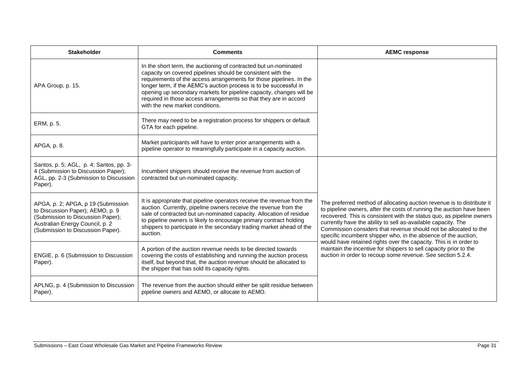| <b>Stakeholder</b>                                                                                                                                                                  | <b>Comments</b>                                                                                                                                                                                                                                                                                                                                                                                                                                           | <b>AEMC response</b>                                                                                                                                                                                                                                                                                                                                                                                                           |
|-------------------------------------------------------------------------------------------------------------------------------------------------------------------------------------|-----------------------------------------------------------------------------------------------------------------------------------------------------------------------------------------------------------------------------------------------------------------------------------------------------------------------------------------------------------------------------------------------------------------------------------------------------------|--------------------------------------------------------------------------------------------------------------------------------------------------------------------------------------------------------------------------------------------------------------------------------------------------------------------------------------------------------------------------------------------------------------------------------|
| APA Group, p. 15.                                                                                                                                                                   | In the short term, the auctioning of contracted but un-nominated<br>capacity on covered pipelines should be consistent with the<br>requirements of the access arrangements for those pipelines. In the<br>longer term, if the AEMC's auction process is to be successful in<br>opening up secondary markets for pipeline capacity, changes will be<br>required in those access arrangements so that they are in accord<br>with the new market conditions. |                                                                                                                                                                                                                                                                                                                                                                                                                                |
| ERM, p. 5.                                                                                                                                                                          | There may need to be a registration process for shippers or default<br>GTA for each pipeline.                                                                                                                                                                                                                                                                                                                                                             |                                                                                                                                                                                                                                                                                                                                                                                                                                |
| APGA, p. 8.                                                                                                                                                                         | Market participants will have to enter prior arrangements with a<br>pipeline operator to meaningfully participate in a capacity auction.                                                                                                                                                                                                                                                                                                                  |                                                                                                                                                                                                                                                                                                                                                                                                                                |
| Santos, p. 5; AGL, p. 4; Santos, pp. 3-<br>4 (Submission to Discussion Paper);<br>AGL, pp. 2-3 (Submission to Discussion<br>Paper).                                                 | Incumbent shippers should receive the revenue from auction of<br>contracted but un-nominated capacity.                                                                                                                                                                                                                                                                                                                                                    |                                                                                                                                                                                                                                                                                                                                                                                                                                |
| APGA, p. 2; APGA, p 19 (Submission<br>to Discussion Paper); AEMO, p. 9<br>(Submission to Discussion Paper);<br>Australian Energy Council, p. 2<br>(Submission to Discussion Paper). | It is appropriate that pipeline operators receive the revenue from the<br>auction. Currently, pipeline owners receive the revenue from the<br>sale of contracted but un-nominated capacity. Allocation of residue<br>to pipeline owners is likely to encourage primary contract holding<br>shippers to participate in the secondary trading market ahead of the<br>auction.                                                                               | The preferred method of allocating auction revenue is to distribute it<br>to pipeline owners, after the costs of running the auction have been<br>recovered. This is consistent with the status quo, as pipeline owners<br>currently have the ability to sell as-available capacity. The<br>Commission considers that revenue should not be allocated to the<br>specific incumbent shipper who, in the absence of the auction, |
| ENGIE, p. 6 (Submission to Discussion<br>Paper).                                                                                                                                    | A portion of the auction revenue needs to be directed towards<br>covering the costs of establishing and running the auction process<br>itself, but beyond that, the auction revenue should be allocated to<br>the shipper that has sold its capacity rights.                                                                                                                                                                                              | would have retained rights over the capacity. This is in order to<br>maintain the incentive for shippers to sell capacity prior to the<br>auction in order to recoup some revenue. See section 5.2.4.                                                                                                                                                                                                                          |
| APLNG, p. 4 (Submission to Discussion<br>Paper).                                                                                                                                    | The revenue from the auction should either be split residue between<br>pipeline owners and AEMO, or allocate to AEMO.                                                                                                                                                                                                                                                                                                                                     |                                                                                                                                                                                                                                                                                                                                                                                                                                |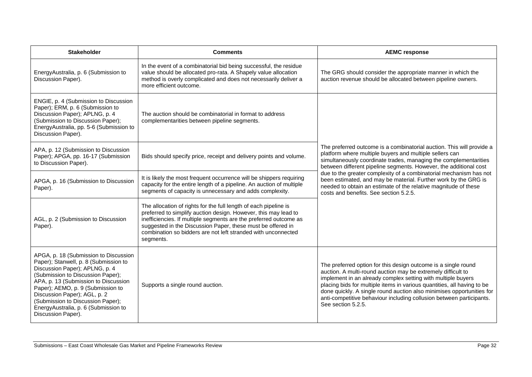| <b>Stakeholder</b>                                                                                                                                                                                                                                                                                                                                                    | <b>Comments</b>                                                                                                                                                                                                                                                                                                                                       | <b>AEMC response</b>                                                                                                                                                                                                                                                                                                                                                                                                                                                                                                            |
|-----------------------------------------------------------------------------------------------------------------------------------------------------------------------------------------------------------------------------------------------------------------------------------------------------------------------------------------------------------------------|-------------------------------------------------------------------------------------------------------------------------------------------------------------------------------------------------------------------------------------------------------------------------------------------------------------------------------------------------------|---------------------------------------------------------------------------------------------------------------------------------------------------------------------------------------------------------------------------------------------------------------------------------------------------------------------------------------------------------------------------------------------------------------------------------------------------------------------------------------------------------------------------------|
| EnergyAustralia, p. 6 (Submission to<br>Discussion Paper).                                                                                                                                                                                                                                                                                                            | In the event of a combinatorial bid being successful, the residue<br>value should be allocated pro-rata. A Shapely value allocation<br>method is overly complicated and does not necessarily deliver a<br>more efficient outcome.                                                                                                                     | The GRG should consider the appropriate manner in which the<br>auction revenue should be allocated between pipeline owners.                                                                                                                                                                                                                                                                                                                                                                                                     |
| ENGIE, p. 4 (Submission to Discussion<br>Paper); ERM, p. 6 (Submission to<br>Discussion Paper); APLNG, p. 4<br>(Submission to Discussion Paper);<br>EnergyAustralia, pp. 5-6 (Submission to<br>Discussion Paper).                                                                                                                                                     | The auction should be combinatorial in format to address<br>complementarities between pipeline segments.                                                                                                                                                                                                                                              |                                                                                                                                                                                                                                                                                                                                                                                                                                                                                                                                 |
| APA, p. 12 (Submission to Discussion<br>Paper); APGA, pp. 16-17 (Submission<br>to Discussion Paper).                                                                                                                                                                                                                                                                  | Bids should specify price, receipt and delivery points and volume.                                                                                                                                                                                                                                                                                    | The preferred outcome is a combinatorial auction. This will provide a<br>platform where multiple buyers and multiple sellers can<br>simultaneously coordinate trades, managing the complementarities<br>between different pipeline segments. However, the additional cost<br>due to the greater complexity of a combinatorial mechanism has not<br>been estimated, and may be material. Further work by the GRG is<br>needed to obtain an estimate of the relative magnitude of these<br>costs and benefits. See section 5.2.5. |
| APGA, p. 16 (Submission to Discussion<br>Paper).                                                                                                                                                                                                                                                                                                                      | It is likely the most frequent occurrence will be shippers requiring<br>capacity for the entire length of a pipeline. An auction of multiple<br>segments of capacity is unnecessary and adds complexity.                                                                                                                                              |                                                                                                                                                                                                                                                                                                                                                                                                                                                                                                                                 |
| AGL, p. 2 (Submission to Discussion<br>Paper).                                                                                                                                                                                                                                                                                                                        | The allocation of rights for the full length of each pipeline is<br>preferred to simplify auction design. However, this may lead to<br>inefficiencies. If multiple segments are the preferred outcome as<br>suggested in the Discussion Paper, these must be offered in<br>combination so bidders are not left stranded with unconnected<br>segments. |                                                                                                                                                                                                                                                                                                                                                                                                                                                                                                                                 |
| APGA, p. 18 (Submission to Discussion<br>Paper); Stanwell, p. 8 (Submission to<br>Discussion Paper); APLNG, p. 4<br>(Submission to Discussion Paper);<br>APA, p. 13 (Submission to Discussion<br>Paper); AEMO, p. 9 (Submission to<br>Discussion Paper); AGL, p. 2<br>(Submission to Discussion Paper);<br>EnergyAustralia, p. 6 (Submission to<br>Discussion Paper). | Supports a single round auction.                                                                                                                                                                                                                                                                                                                      | The preferred option for this design outcome is a single round<br>auction. A multi-round auction may be extremely difficult to<br>implement in an already complex setting with multiple buyers<br>placing bids for multiple items in various quantities, all having to be<br>done quickly. A single round auction also minimises opportunities for<br>anti-competitive behaviour including collusion between participants.<br>See section 5.2.5.                                                                                |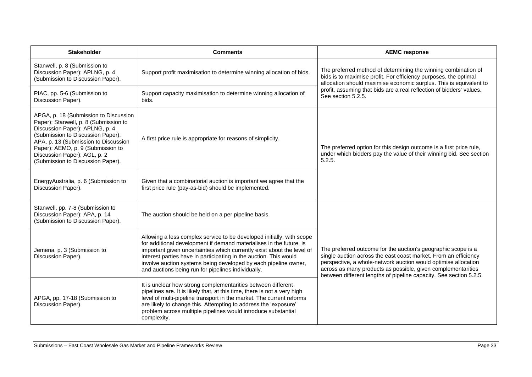| <b>Stakeholder</b>                                                                                                                                                                                                                                                                                      | <b>Comments</b>                                                                                                                                                                                                                                                                                                                                                                                                      | <b>AEMC response</b>                                                                                                                                                                                                                                                                                                                     |
|---------------------------------------------------------------------------------------------------------------------------------------------------------------------------------------------------------------------------------------------------------------------------------------------------------|----------------------------------------------------------------------------------------------------------------------------------------------------------------------------------------------------------------------------------------------------------------------------------------------------------------------------------------------------------------------------------------------------------------------|------------------------------------------------------------------------------------------------------------------------------------------------------------------------------------------------------------------------------------------------------------------------------------------------------------------------------------------|
| Stanwell, p. 8 (Submission to<br>Discussion Paper); APLNG, p. 4<br>(Submission to Discussion Paper).                                                                                                                                                                                                    | Support profit maximisation to determine winning allocation of bids.                                                                                                                                                                                                                                                                                                                                                 | The preferred method of determining the winning combination of<br>bids is to maximise profit. For efficiency purposes, the optimal<br>allocation should maximise economic surplus. This is equivalent to<br>profit, assuming that bids are a real reflection of bidders' values.<br>See section 5.2.5.                                   |
| PIAC, pp. 5-6 (Submission to<br>Discussion Paper).                                                                                                                                                                                                                                                      | Support capacity maximisation to determine winning allocation of<br>bids.                                                                                                                                                                                                                                                                                                                                            |                                                                                                                                                                                                                                                                                                                                          |
| APGA, p. 18 (Submission to Discussion<br>Paper); Stanwell, p. 8 (Submission to<br>Discussion Paper); APLNG, p. 4<br>(Submission to Discussion Paper);<br>APA, p. 13 (Submission to Discussion<br>Paper); AEMO, p. 9 (Submission to<br>Discussion Paper); AGL, p. 2<br>(Submission to Discussion Paper). | A first price rule is appropriate for reasons of simplicity.                                                                                                                                                                                                                                                                                                                                                         | The preferred option for this design outcome is a first price rule,<br>under which bidders pay the value of their winning bid. See section<br>5.2.5.                                                                                                                                                                                     |
| EnergyAustralia, p. 6 (Submission to<br>Discussion Paper).                                                                                                                                                                                                                                              | Given that a combinatorial auction is important we agree that the<br>first price rule (pay-as-bid) should be implemented.                                                                                                                                                                                                                                                                                            |                                                                                                                                                                                                                                                                                                                                          |
| Stanwell, pp. 7-8 (Submission to<br>Discussion Paper); APA, p. 14<br>(Submission to Discussion Paper).                                                                                                                                                                                                  | The auction should be held on a per pipeline basis.                                                                                                                                                                                                                                                                                                                                                                  | The preferred outcome for the auction's geographic scope is a<br>single auction across the east coast market. From an efficiency<br>perspective, a whole-network auction would optimise allocation<br>across as many products as possible, given complementarities<br>between different lengths of pipeline capacity. See section 5.2.5. |
| Jemena, p. 3 (Submission to<br>Discussion Paper).                                                                                                                                                                                                                                                       | Allowing a less complex service to be developed initially, with scope<br>for additional development if demand materialises in the future, is<br>important given uncertainties which currently exist about the level of<br>interest parties have in participating in the auction. This would<br>involve auction systems being developed by each pipeline owner,<br>and auctions being run for pipelines individually. |                                                                                                                                                                                                                                                                                                                                          |
| APGA, pp. 17-18 (Submission to<br>Discussion Paper).                                                                                                                                                                                                                                                    | It is unclear how strong complementarities between different<br>pipelines are. It is likely that, at this time, there is not a very high<br>level of multi-pipeline transport in the market. The current reforms<br>are likely to change this. Attempting to address the 'exposure'<br>problem across multiple pipelines would introduce substantial<br>complexity.                                                  |                                                                                                                                                                                                                                                                                                                                          |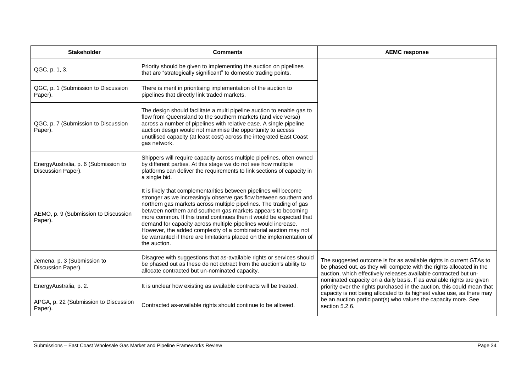| <b>Stakeholder</b>                                         | <b>Comments</b>                                                                                                                                                                                                                                                                                                                                                                                                                                                                                                                                                                    | <b>AEMC response</b>                                                                                                                                                                                                       |
|------------------------------------------------------------|------------------------------------------------------------------------------------------------------------------------------------------------------------------------------------------------------------------------------------------------------------------------------------------------------------------------------------------------------------------------------------------------------------------------------------------------------------------------------------------------------------------------------------------------------------------------------------|----------------------------------------------------------------------------------------------------------------------------------------------------------------------------------------------------------------------------|
| QGC, p. 1, 3.                                              | Priority should be given to implementing the auction on pipelines<br>that are "strategically significant" to domestic trading points.                                                                                                                                                                                                                                                                                                                                                                                                                                              |                                                                                                                                                                                                                            |
| QGC, p. 1 (Submission to Discussion<br>Paper).             | There is merit in prioritising implementation of the auction to<br>pipelines that directly link traded markets.                                                                                                                                                                                                                                                                                                                                                                                                                                                                    |                                                                                                                                                                                                                            |
| QGC, p. 7 (Submission to Discussion<br>Paper).             | The design should facilitate a multi pipeline auction to enable gas to<br>flow from Queensland to the southern markets (and vice versa)<br>across a number of pipelines with relative ease. A single pipeline<br>auction design would not maximise the opportunity to access<br>unutilised capacity (at least cost) across the integrated East Coast<br>gas network.                                                                                                                                                                                                               |                                                                                                                                                                                                                            |
| EnergyAustralia, p. 6 (Submission to<br>Discussion Paper). | Shippers will require capacity across multiple pipelines, often owned<br>by different parties. At this stage we do not see how multiple<br>platforms can deliver the requirements to link sections of capacity in<br>a single bid.                                                                                                                                                                                                                                                                                                                                                 |                                                                                                                                                                                                                            |
| AEMO, p. 9 (Submission to Discussion<br>Paper).            | It is likely that complementarities between pipelines will become<br>stronger as we increasingly observe gas flow between southern and<br>northern gas markets across multiple pipelines. The trading of gas<br>between northern and southern gas markets appears to becoming<br>more common. If this trend continues then it would be expected that<br>demand for capacity across multiple pipelines would increase.<br>However, the added complexity of a combinatorial auction may not<br>be warranted if there are limitations placed on the implementation of<br>the auction. |                                                                                                                                                                                                                            |
| Jemena, p. 3 (Submission to<br>Discussion Paper).          | Disagree with suggestions that as-available rights or services should<br>be phased out as these do not detract from the auction's ability to<br>allocate contracted but un-nominated capacity.                                                                                                                                                                                                                                                                                                                                                                                     | The suggested outcome is for as available rights in current GTAs to<br>be phased out, as they will compete with the rights allocated in the<br>auction, which effectively releases available contracted but un-            |
| EnergyAustralia, p. 2.                                     | It is unclear how existing as available contracts will be treated.                                                                                                                                                                                                                                                                                                                                                                                                                                                                                                                 | nominated capacity on a daily basis. If as available rights are given<br>priority over the rights purchased in the auction, this could mean that<br>capacity is not being allocated to its highest value use, as there may |
| APGA, p. 22 (Submission to Discussion<br>Paper).           | Contracted as-available rights should continue to be allowed.                                                                                                                                                                                                                                                                                                                                                                                                                                                                                                                      | be an auction participant(s) who values the capacity more. See<br>section 5.2.6.                                                                                                                                           |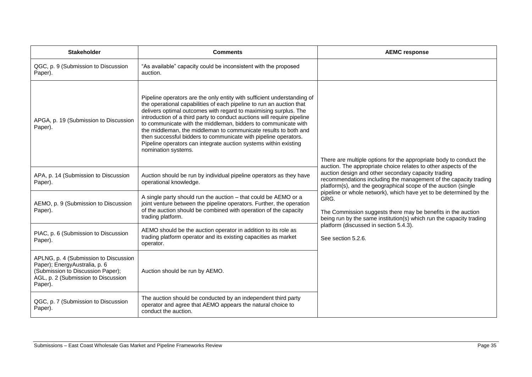| <b>Stakeholder</b>                                                                                                                                            | <b>Comments</b>                                                                                                                                                                                                                                                                                                                                                                                                                                                                                                                                                                                   | <b>AEMC response</b>                                                                                                                                                                                                                                                                                                                                                                                                                                                                                                                                    |
|---------------------------------------------------------------------------------------------------------------------------------------------------------------|---------------------------------------------------------------------------------------------------------------------------------------------------------------------------------------------------------------------------------------------------------------------------------------------------------------------------------------------------------------------------------------------------------------------------------------------------------------------------------------------------------------------------------------------------------------------------------------------------|---------------------------------------------------------------------------------------------------------------------------------------------------------------------------------------------------------------------------------------------------------------------------------------------------------------------------------------------------------------------------------------------------------------------------------------------------------------------------------------------------------------------------------------------------------|
| QGC, p. 9 (Submission to Discussion<br>Paper).                                                                                                                | "As available" capacity could be inconsistent with the proposed<br>auction.                                                                                                                                                                                                                                                                                                                                                                                                                                                                                                                       |                                                                                                                                                                                                                                                                                                                                                                                                                                                                                                                                                         |
| APGA, p. 19 (Submission to Discussion<br>Paper).                                                                                                              | Pipeline operators are the only entity with sufficient understanding of<br>the operational capabilities of each pipeline to run an auction that<br>delivers optimal outcomes with regard to maximising surplus. The<br>introduction of a third party to conduct auctions will require pipeline<br>to communicate with the middleman, bidders to communicate with<br>the middleman, the middleman to communicate results to both and<br>then successful bidders to communicate with pipeline operators.<br>Pipeline operators can integrate auction systems within existing<br>nomination systems. | There are multiple options for the appropriate body to conduct the<br>auction. The appropriate choice relates to other aspects of the<br>auction design and other secondary capacity trading<br>recommendations including the management of the capacity trading<br>platform(s), and the geographical scope of the auction (single<br>pipeline or whole network), which have yet to be determined by the<br>GRG.<br>The Commission suggests there may be benefits in the auction<br>being run by the same institution(s) which run the capacity trading |
| APA, p. 14 (Submission to Discussion<br>Paper).                                                                                                               | Auction should be run by individual pipeline operators as they have<br>operational knowledge.                                                                                                                                                                                                                                                                                                                                                                                                                                                                                                     |                                                                                                                                                                                                                                                                                                                                                                                                                                                                                                                                                         |
| AEMO, p. 9 (Submission to Discussion<br>Paper).                                                                                                               | A single party should run the auction - that could be AEMO or a<br>joint venture between the pipeline operators. Further, the operation<br>of the auction should be combined with operation of the capacity<br>trading platform.                                                                                                                                                                                                                                                                                                                                                                  |                                                                                                                                                                                                                                                                                                                                                                                                                                                                                                                                                         |
| PIAC, p. 6 (Submission to Discussion<br>Paper).                                                                                                               | AEMO should be the auction operator in addition to its role as<br>trading platform operator and its existing capacities as market<br>operator.                                                                                                                                                                                                                                                                                                                                                                                                                                                    | platform (discussed in section 5.4.3).<br>See section 5.2.6.                                                                                                                                                                                                                                                                                                                                                                                                                                                                                            |
| APLNG, p. 4 (Submission to Discussion<br>Paper); EnergyAustralia, p. 6<br>(Submission to Discussion Paper);<br>AGL, p. 2 (Submission to Discussion<br>Paper). | Auction should be run by AEMO.                                                                                                                                                                                                                                                                                                                                                                                                                                                                                                                                                                    |                                                                                                                                                                                                                                                                                                                                                                                                                                                                                                                                                         |
| QGC, p. 7 (Submission to Discussion<br>Paper).                                                                                                                | The auction should be conducted by an independent third party<br>operator and agree that AEMO appears the natural choice to<br>conduct the auction.                                                                                                                                                                                                                                                                                                                                                                                                                                               |                                                                                                                                                                                                                                                                                                                                                                                                                                                                                                                                                         |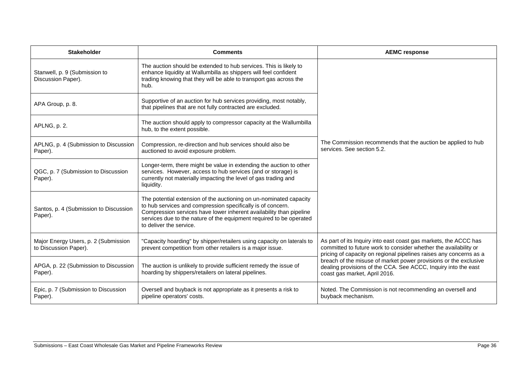| <b>Stakeholder</b>                                            | <b>Comments</b>                                                                                                                                                                                                                                                                                            | <b>AEMC response</b>                                                                                                                                                                                                                                                                                                                                                              |
|---------------------------------------------------------------|------------------------------------------------------------------------------------------------------------------------------------------------------------------------------------------------------------------------------------------------------------------------------------------------------------|-----------------------------------------------------------------------------------------------------------------------------------------------------------------------------------------------------------------------------------------------------------------------------------------------------------------------------------------------------------------------------------|
| Stanwell, p. 9 (Submission to<br>Discussion Paper).           | The auction should be extended to hub services. This is likely to<br>enhance liquidity at Wallumbilla as shippers will feel confident<br>trading knowing that they will be able to transport gas across the<br>hub.                                                                                        | The Commission recommends that the auction be applied to hub<br>services. See section 5.2.                                                                                                                                                                                                                                                                                        |
| APA Group, p. 8.                                              | Supportive of an auction for hub services providing, most notably,<br>that pipelines that are not fully contracted are excluded.                                                                                                                                                                           |                                                                                                                                                                                                                                                                                                                                                                                   |
| APLNG, p. 2.                                                  | The auction should apply to compressor capacity at the Wallumbilla<br>hub, to the extent possible.                                                                                                                                                                                                         |                                                                                                                                                                                                                                                                                                                                                                                   |
| APLNG, p. 4 (Submission to Discussion<br>Paper).              | Compression, re-direction and hub services should also be<br>auctioned to avoid exposure problem.                                                                                                                                                                                                          |                                                                                                                                                                                                                                                                                                                                                                                   |
| QGC, p. 7 (Submission to Discussion<br>Paper).                | Longer-term, there might be value in extending the auction to other<br>services. However, access to hub services (and or storage) is<br>currently not materially impacting the level of gas trading and<br>liquidity.                                                                                      |                                                                                                                                                                                                                                                                                                                                                                                   |
| Santos, p. 4 (Submission to Discussion<br>Paper).             | The potential extension of the auctioning on un-nominated capacity<br>to hub services and compression specifically is of concern.<br>Compression services have lower inherent availability than pipeline<br>services due to the nature of the equipment required to be operated<br>to deliver the service. |                                                                                                                                                                                                                                                                                                                                                                                   |
| Major Energy Users, p. 2 (Submission<br>to Discussion Paper). | "Capacity hoarding" by shipper/retailers using capacity on laterals to<br>prevent competition from other retailers is a major issue.                                                                                                                                                                       | As part of its Inquiry into east coast gas markets, the ACCC has<br>committed to future work to consider whether the availability or<br>pricing of capacity on regional pipelines raises any concerns as a<br>breach of the misuse of market power provisions or the exclusive<br>dealing provisions of the CCA. See ACCC, Inquiry into the east<br>coast gas market, April 2016. |
| APGA, p. 22 (Submission to Discussion<br>Paper).              | The auction is unlikely to provide sufficient remedy the issue of<br>hoarding by shippers/retailers on lateral pipelines.                                                                                                                                                                                  |                                                                                                                                                                                                                                                                                                                                                                                   |
| Epic, p. 7 (Submission to Discussion<br>Paper).               | Oversell and buyback is not appropriate as it presents a risk to<br>pipeline operators' costs.                                                                                                                                                                                                             | Noted. The Commission is not recommending an oversell and<br>buyback mechanism.                                                                                                                                                                                                                                                                                                   |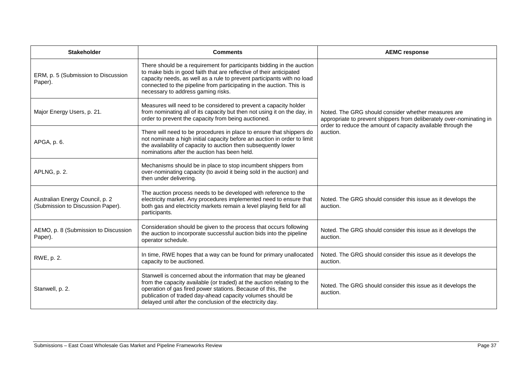| <b>Stakeholder</b>                                                   | <b>Comments</b>                                                                                                                                                                                                                                                                                                                      | <b>AEMC response</b>                                                                                                                                                                                    |
|----------------------------------------------------------------------|--------------------------------------------------------------------------------------------------------------------------------------------------------------------------------------------------------------------------------------------------------------------------------------------------------------------------------------|---------------------------------------------------------------------------------------------------------------------------------------------------------------------------------------------------------|
| ERM, p. 5 (Submission to Discussion<br>Paper).                       | There should be a requirement for participants bidding in the auction<br>to make bids in good faith that are reflective of their anticipated<br>capacity needs, as well as a rule to prevent participants with no load<br>connected to the pipeline from participating in the auction. This is<br>necessary to address gaming risks. |                                                                                                                                                                                                         |
| Major Energy Users, p. 21.                                           | Measures will need to be considered to prevent a capacity holder<br>from nominating all of its capacity but then not using it on the day, in<br>order to prevent the capacity from being auctioned.                                                                                                                                  | Noted. The GRG should consider whether measures are<br>appropriate to prevent shippers from deliberately over-nominating in<br>order to reduce the amount of capacity available through the<br>auction. |
| APGA, p. 6.                                                          | There will need to be procedures in place to ensure that shippers do<br>not nominate a high initial capacity before an auction in order to limit<br>the availability of capacity to auction then subsequently lower<br>nominations after the auction has been held.                                                                  |                                                                                                                                                                                                         |
| APLNG, p. 2.                                                         | Mechanisms should be in place to stop incumbent shippers from<br>over-nominating capacity (to avoid it being sold in the auction) and<br>then under delivering.                                                                                                                                                                      |                                                                                                                                                                                                         |
| Australian Energy Council, p. 2<br>(Submission to Discussion Paper). | The auction process needs to be developed with reference to the<br>electricity market. Any procedures implemented need to ensure that<br>both gas and electricity markets remain a level playing field for all<br>participants.                                                                                                      | Noted. The GRG should consider this issue as it develops the<br>auction.                                                                                                                                |
| AEMO, p. 8 (Submission to Discussion<br>Paper).                      | Consideration should be given to the process that occurs following<br>the auction to incorporate successful auction bids into the pipeline<br>operator schedule.                                                                                                                                                                     | Noted. The GRG should consider this issue as it develops the<br>auction.                                                                                                                                |
| RWE, p. 2.                                                           | In time, RWE hopes that a way can be found for primary unallocated<br>capacity to be auctioned.                                                                                                                                                                                                                                      | Noted. The GRG should consider this issue as it develops the<br>auction.                                                                                                                                |
| Stanwell, p. 2.                                                      | Stanwell is concerned about the information that may be gleaned<br>from the capacity available (or traded) at the auction relating to the<br>operation of gas fired power stations. Because of this, the<br>publication of traded day-ahead capacity volumes should be<br>delayed until after the conclusion of the electricity day. | Noted. The GRG should consider this issue as it develops the<br>auction.                                                                                                                                |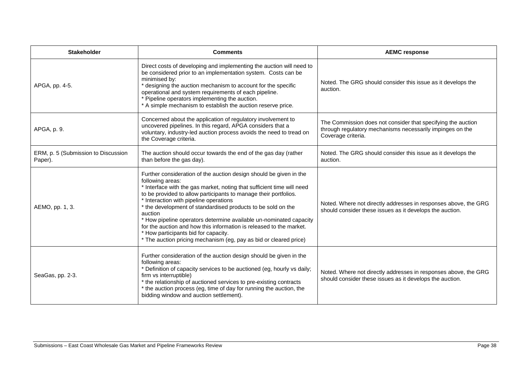| <b>Stakeholder</b>                             | <b>Comments</b>                                                                                                                                                                                                                                                                                                                                                                                                                                                                                                                                                                                                     | <b>AEMC response</b>                                                                                                                            |
|------------------------------------------------|---------------------------------------------------------------------------------------------------------------------------------------------------------------------------------------------------------------------------------------------------------------------------------------------------------------------------------------------------------------------------------------------------------------------------------------------------------------------------------------------------------------------------------------------------------------------------------------------------------------------|-------------------------------------------------------------------------------------------------------------------------------------------------|
| APGA, pp. 4-5.                                 | Direct costs of developing and implementing the auction will need to<br>be considered prior to an implementation system. Costs can be<br>minimised by:<br>* designing the auction mechanism to account for the specific<br>operational and system requirements of each pipeline.<br>* Pipeline operators implementing the auction.<br>* A simple mechanism to establish the auction reserve price.                                                                                                                                                                                                                  | Noted. The GRG should consider this issue as it develops the<br>auction.                                                                        |
| APGA, p. 9.                                    | Concerned about the application of regulatory involvement to<br>uncovered pipelines. In this regard, APGA considers that a<br>voluntary, industry-led auction process avoids the need to tread on<br>the Coverage criteria.                                                                                                                                                                                                                                                                                                                                                                                         | The Commission does not consider that specifying the auction<br>through regulatory mechanisms necessarily impinges on the<br>Coverage criteria. |
| ERM, p. 5 (Submission to Discussion<br>Paper). | The auction should occur towards the end of the gas day (rather<br>than before the gas day).                                                                                                                                                                                                                                                                                                                                                                                                                                                                                                                        | Noted. The GRG should consider this issue as it develops the<br>auction.                                                                        |
| AEMO, pp. 1, 3.                                | Further consideration of the auction design should be given in the<br>following areas:<br>* Interface with the gas market, noting that sufficient time will need<br>to be provided to allow participants to manage their portfolios.<br>* Interaction with pipeline operations<br>* the development of standardised products to be sold on the<br>auction<br>* How pipeline operators determine available un-nominated capacity<br>for the auction and how this information is released to the market.<br>* How participants bid for capacity.<br>* The auction pricing mechanism (eg, pay as bid or cleared price) | Noted. Where not directly addresses in responses above, the GRG<br>should consider these issues as it develops the auction.                     |
| SeaGas, pp. 2-3.                               | Further consideration of the auction design should be given in the<br>following areas:<br>* Definition of capacity services to be auctioned (eg, hourly vs daily;<br>firm vs interruptible)<br>* the relationship of auctioned services to pre-existing contracts<br>* the auction process (eg, time of day for running the auction, the<br>bidding window and auction settlement).                                                                                                                                                                                                                                 | Noted. Where not directly addresses in responses above, the GRG<br>should consider these issues as it develops the auction.                     |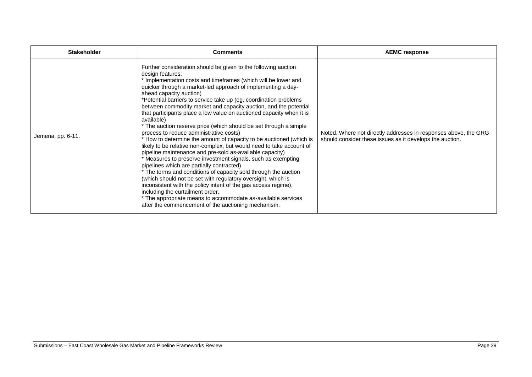| <b>Stakeholder</b> | <b>Comments</b>                                                                                                                                                                                                                                                                                                                                                                                                                                                                                                                                                                                                                                                                                                                                                                                                                                                                                                                                                                                                                                                                                                                                                                                                                                                                         | <b>AEMC response</b>                                                                                                        |
|--------------------|-----------------------------------------------------------------------------------------------------------------------------------------------------------------------------------------------------------------------------------------------------------------------------------------------------------------------------------------------------------------------------------------------------------------------------------------------------------------------------------------------------------------------------------------------------------------------------------------------------------------------------------------------------------------------------------------------------------------------------------------------------------------------------------------------------------------------------------------------------------------------------------------------------------------------------------------------------------------------------------------------------------------------------------------------------------------------------------------------------------------------------------------------------------------------------------------------------------------------------------------------------------------------------------------|-----------------------------------------------------------------------------------------------------------------------------|
| Jemena, pp. 6-11.  | Further consideration should be given to the following auction<br>design features:<br>* Implementation costs and timeframes (which will be lower and<br>quicker through a market-led approach of implementing a day-<br>ahead capacity auction)<br>*Potential barriers to service take up (eg, coordination problems)<br>between commodity market and capacity auction, and the potential<br>that participants place a low value on auctioned capacity when it is<br>available)<br>* The auction reserve price (which should be set through a simple<br>process to reduce administrative costs)<br>* How to determine the amount of capacity to be auctioned (which is<br>likely to be relative non-complex, but would need to take account of<br>pipeline maintenance and pre-sold as-available capacity)<br>* Measures to preserve investment signals, such as exempting<br>pipelines which are partially contracted)<br>* The terms and conditions of capacity sold through the auction<br>(which should not be set with regulatory oversight, which is<br>inconsistent with the policy intent of the gas access regime),<br>including the curtailment order.<br>* The appropriate means to accommodate as-available services<br>after the commencement of the auctioning mechanism. | Noted. Where not directly addresses in responses above, the GRG<br>should consider these issues as it develops the auction. |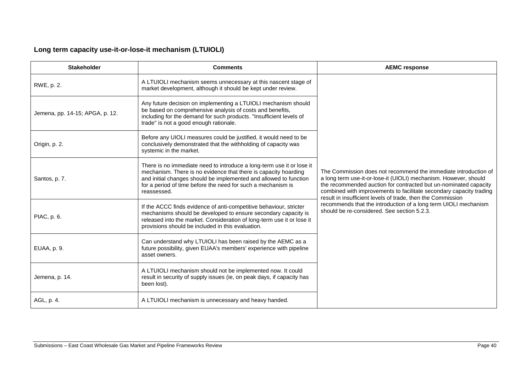## **Long term capacity use-it-or-lose-it mechanism (LTUIOLI)**

| <b>Stakeholder</b>              | <b>Comments</b>                                                                                                                                                                                                                                                                              | <b>AEMC response</b>                                                                                                                                                                                                                                                                                                                                                                                                                                            |
|---------------------------------|----------------------------------------------------------------------------------------------------------------------------------------------------------------------------------------------------------------------------------------------------------------------------------------------|-----------------------------------------------------------------------------------------------------------------------------------------------------------------------------------------------------------------------------------------------------------------------------------------------------------------------------------------------------------------------------------------------------------------------------------------------------------------|
| RWE, p. 2.                      | A LTUIOLI mechanism seems unnecessary at this nascent stage of<br>market development, although it should be kept under review.                                                                                                                                                               | The Commission does not recommend the immediate introduction of<br>a long term use-it-or-lose-it (UIOLI) mechanism. However, should<br>the recommended auction for contracted but un-nominated capacity<br>combined with improvements to facilitate secondary capacity trading<br>result in insufficient levels of trade, then the Commission<br>recommends that the introduction of a long term UIOLI mechanism<br>should be re-considered. See section 5.2.3. |
| Jemena, pp. 14-15; APGA, p. 12. | Any future decision on implementing a LTUIOLI mechanism should<br>be based on comprehensive analysis of costs and benefits,<br>including for the demand for such products. "Insufficient levels of<br>trade" is not a good enough rationale.                                                 |                                                                                                                                                                                                                                                                                                                                                                                                                                                                 |
| Origin, p. 2.                   | Before any UIOLI measures could be justified, it would need to be<br>conclusively demonstrated that the withholding of capacity was<br>systemic in the market.                                                                                                                               |                                                                                                                                                                                                                                                                                                                                                                                                                                                                 |
| Santos, p. 7.                   | There is no immediate need to introduce a long-term use it or lose it<br>mechanism. There is no evidence that there is capacity hoarding<br>and initial changes should be implemented and allowed to function<br>for a period of time before the need for such a mechanism is<br>reassessed. |                                                                                                                                                                                                                                                                                                                                                                                                                                                                 |
| PIAC, p. 6.                     | If the ACCC finds evidence of anti-competitive behaviour, stricter<br>mechanisms should be developed to ensure secondary capacity is<br>released into the market. Consideration of long-term use it or lose it<br>provisions should be included in this evaluation.                          |                                                                                                                                                                                                                                                                                                                                                                                                                                                                 |
| EUAA, p. 9.                     | Can understand why LTUIOLI has been raised by the AEMC as a<br>future possibility, given EUAA's members' experience with pipeline<br>asset owners.                                                                                                                                           |                                                                                                                                                                                                                                                                                                                                                                                                                                                                 |
| Jemena, p. 14.                  | A LTUIOLI mechanism should not be implemented now. It could<br>result in security of supply issues (ie, on peak days, if capacity has<br>been lost).                                                                                                                                         |                                                                                                                                                                                                                                                                                                                                                                                                                                                                 |
| AGL, p. 4.                      | A LTUIOLI mechanism is unnecessary and heavy handed.                                                                                                                                                                                                                                         |                                                                                                                                                                                                                                                                                                                                                                                                                                                                 |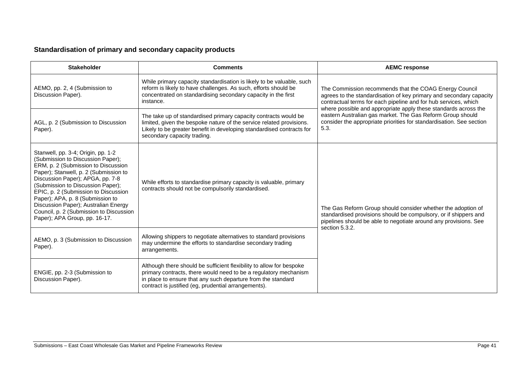### **Standardisation of primary and secondary capacity products**

| <b>Stakeholder</b>                                                                                                                                                                                                                                                                                                                                                                                                               | <b>Comments</b>                                                                                                                                                                                                                                                  | <b>AEMC response</b>                                                                                                                                                                                                                                                                                                                                                                                              |
|----------------------------------------------------------------------------------------------------------------------------------------------------------------------------------------------------------------------------------------------------------------------------------------------------------------------------------------------------------------------------------------------------------------------------------|------------------------------------------------------------------------------------------------------------------------------------------------------------------------------------------------------------------------------------------------------------------|-------------------------------------------------------------------------------------------------------------------------------------------------------------------------------------------------------------------------------------------------------------------------------------------------------------------------------------------------------------------------------------------------------------------|
| AEMO, pp. 2, 4 (Submission to<br>Discussion Paper).                                                                                                                                                                                                                                                                                                                                                                              | While primary capacity standardisation is likely to be valuable, such<br>reform is likely to have challenges. As such, efforts should be<br>concentrated on standardising secondary capacity in the first<br>instance.                                           | The Commission recommends that the COAG Energy Council<br>agrees to the standardisation of key primary and secondary capacity<br>contractual terms for each pipeline and for hub services, which<br>where possible and appropriate apply these standards across the<br>eastern Australian gas market. The Gas Reform Group should<br>consider the appropriate priorities for standardisation. See section<br>5.3. |
| AGL, p. 2 (Submission to Discussion<br>Paper).                                                                                                                                                                                                                                                                                                                                                                                   | The take up of standardised primary capacity contracts would be<br>limited, given the bespoke nature of the service related provisions.<br>Likely to be greater benefit in developing standardised contracts for<br>secondary capacity trading.                  |                                                                                                                                                                                                                                                                                                                                                                                                                   |
| Stanwell, pp. 3-4; Origin, pp. 1-2<br>(Submission to Discussion Paper);<br>ERM, p. 2 (Submission to Discussion<br>Paper); Stanwell, p. 2 (Submission to<br>Discussion Paper); APGA, pp. 7-8<br>(Submission to Discussion Paper);<br>EPIC, p. 2 (Submission to Discussion<br>Paper); APA, p. 8 (Submission to<br>Discussion Paper); Australian Energy<br>Council, p. 2 (Submission to Discussion<br>Paper); APA Group, pp. 16-17. | While efforts to standardise primary capacity is valuable, primary<br>contracts should not be compulsorily standardised.                                                                                                                                         | The Gas Reform Group should consider whether the adoption of<br>standardised provisions should be compulsory, or if shippers and<br>pipelines should be able to negotiate around any provisions. See<br>section 5.3.2.                                                                                                                                                                                            |
| AEMO, p. 3 (Submission to Discussion<br>Paper).                                                                                                                                                                                                                                                                                                                                                                                  | Allowing shippers to negotiate alternatives to standard provisions<br>may undermine the efforts to standardise secondary trading<br>arrangements.                                                                                                                |                                                                                                                                                                                                                                                                                                                                                                                                                   |
| ENGIE, pp. 2-3 (Submission to<br>Discussion Paper).                                                                                                                                                                                                                                                                                                                                                                              | Although there should be sufficient flexibility to allow for bespoke<br>primary contracts, there would need to be a regulatory mechanism<br>in place to ensure that any such departure from the standard<br>contract is justified (eg, prudential arrangements). |                                                                                                                                                                                                                                                                                                                                                                                                                   |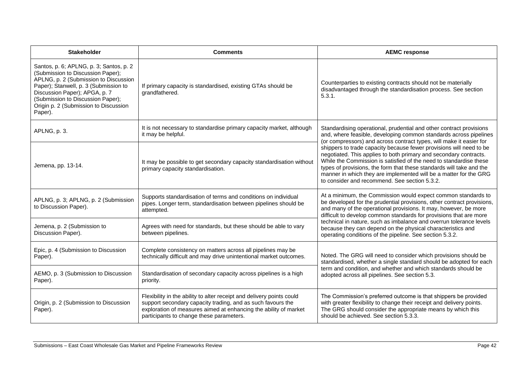| <b>Stakeholder</b>                                                                                                                                                                                                                                                                       | <b>Comments</b>                                                                                                                                                                                                                                      | <b>AEMC response</b>                                                                                                                                                                                                                                                                                                                                                                                                                                                                                                                                                                                                            |
|------------------------------------------------------------------------------------------------------------------------------------------------------------------------------------------------------------------------------------------------------------------------------------------|------------------------------------------------------------------------------------------------------------------------------------------------------------------------------------------------------------------------------------------------------|---------------------------------------------------------------------------------------------------------------------------------------------------------------------------------------------------------------------------------------------------------------------------------------------------------------------------------------------------------------------------------------------------------------------------------------------------------------------------------------------------------------------------------------------------------------------------------------------------------------------------------|
| Santos, p. 6; APLNG, p. 3; Santos, p. 2<br>(Submission to Discussion Paper);<br>APLNG, p. 2 (Submission to Discussion<br>Paper); Stanwell, p. 3 (Submission to<br>Discussion Paper); APGA, p. 7<br>(Submission to Discussion Paper);<br>Origin p. 2 (Submission to Discussion<br>Paper). | If primary capacity is standardised, existing GTAs should be<br>grandfathered.                                                                                                                                                                       | Counterparties to existing contracts should not be materially<br>disadvantaged through the standardisation process. See section<br>5.3.1.                                                                                                                                                                                                                                                                                                                                                                                                                                                                                       |
| APLNG, p. 3.                                                                                                                                                                                                                                                                             | It is not necessary to standardise primary capacity market, although<br>it may be helpful.                                                                                                                                                           | Standardising operational, prudential and other contract provisions<br>and, where feasible, developing common standards across pipelines<br>(or compressors) and across contract types, will make it easier for<br>shippers to trade capacity because fewer provisions will need to be<br>negotiated. This applies to both primary and secondary contracts.<br>While the Commission is satisfied of the need to standardise these<br>types of provisions, the form that these standards will take and the<br>manner in which they are implemented will be a matter for the GRG<br>to consider and recommend. See section 5.3.2. |
| Jemena, pp. 13-14.                                                                                                                                                                                                                                                                       | It may be possible to get secondary capacity standardisation without<br>primary capacity standardisation.                                                                                                                                            |                                                                                                                                                                                                                                                                                                                                                                                                                                                                                                                                                                                                                                 |
| APLNG, p. 3; APLNG, p. 2 (Submission<br>to Discussion Paper).                                                                                                                                                                                                                            | Supports standardisation of terms and conditions on individual<br>pipes. Longer term, standardisation between pipelines should be<br>attempted.                                                                                                      | At a minimum, the Commission would expect common standards to<br>be developed for the prudential provisions, other contract provisions,<br>and many of the operational provisions. It may, however, be more<br>difficult to develop common standards for provisions that are more<br>technical in nature, such as imbalance and overrun tolerance levels<br>because they can depend on the physical characteristics and<br>operating conditions of the pipeline. See section 5.3.2.                                                                                                                                             |
| Jemena, p. 2 (Submission to<br>Discussion Paper).                                                                                                                                                                                                                                        | Agrees with need for standards, but these should be able to vary<br>between pipelines.                                                                                                                                                               |                                                                                                                                                                                                                                                                                                                                                                                                                                                                                                                                                                                                                                 |
| Epic, p. 4 (Submission to Discussion<br>Paper).                                                                                                                                                                                                                                          | Complete consistency on matters across all pipelines may be<br>technically difficult and may drive unintentional market outcomes.                                                                                                                    | Noted. The GRG will need to consider which provisions should be<br>standardised, whether a single standard should be adopted for each<br>term and condition, and whether and which standards should be<br>adopted across all pipelines. See section 5.3.                                                                                                                                                                                                                                                                                                                                                                        |
| AEMO, p. 3 (Submission to Discussion<br>Paper).                                                                                                                                                                                                                                          | Standardisation of secondary capacity across pipelines is a high<br>priority.                                                                                                                                                                        |                                                                                                                                                                                                                                                                                                                                                                                                                                                                                                                                                                                                                                 |
| Origin, p. 2 (Submission to Discussion<br>Paper).                                                                                                                                                                                                                                        | Flexibility in the ability to alter receipt and delivery points could<br>support secondary capacity trading, and as such favours the<br>exploration of measures aimed at enhancing the ability of market<br>participants to change these parameters. | The Commission's preferred outcome is that shippers be provided<br>with greater flexibility to change their receipt and delivery points.<br>The GRG should consider the appropriate means by which this<br>should be achieved. See section 5.3.3.                                                                                                                                                                                                                                                                                                                                                                               |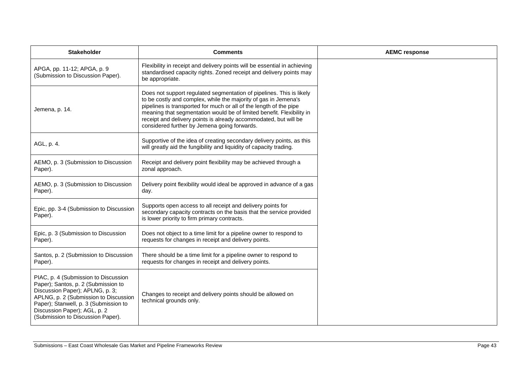| <b>Stakeholder</b>                                                                                                                                                                                                                                                    | <b>Comments</b>                                                                                                                                                                                                                                                                                                                                                                                            |
|-----------------------------------------------------------------------------------------------------------------------------------------------------------------------------------------------------------------------------------------------------------------------|------------------------------------------------------------------------------------------------------------------------------------------------------------------------------------------------------------------------------------------------------------------------------------------------------------------------------------------------------------------------------------------------------------|
| APGA, pp. 11-12; APGA, p. 9<br>(Submission to Discussion Paper).                                                                                                                                                                                                      | Flexibility in receipt and delivery points will be essential in achieving<br>standardised capacity rights. Zoned receipt and delivery points may<br>be appropriate.                                                                                                                                                                                                                                        |
| Jemena, p. 14.                                                                                                                                                                                                                                                        | Does not support regulated segmentation of pipelines. This is likely<br>to be costly and complex, while the majority of gas in Jemena's<br>pipelines is transported for much or all of the length of the pipe<br>meaning that segmentation would be of limited benefit. Flexibility in<br>receipt and delivery points is already accommodated, but will be<br>considered further by Jemena going forwards. |
| AGL, p. 4.                                                                                                                                                                                                                                                            | Supportive of the idea of creating secondary delivery points, as this<br>will greatly aid the fungibility and liquidity of capacity trading.                                                                                                                                                                                                                                                               |
| AEMO, p. 3 (Submission to Discussion<br>Paper).                                                                                                                                                                                                                       | Receipt and delivery point flexibility may be achieved through a<br>zonal approach.                                                                                                                                                                                                                                                                                                                        |
| AEMO, p. 3 (Submission to Discussion<br>Paper).                                                                                                                                                                                                                       | Delivery point flexibility would ideal be approved in advance of a gas<br>day.                                                                                                                                                                                                                                                                                                                             |
| Epic, pp. 3-4 (Submission to Discussion<br>Paper).                                                                                                                                                                                                                    | Supports open access to all receipt and delivery points for<br>secondary capacity contracts on the basis that the service provided<br>is lower priority to firm primary contracts.                                                                                                                                                                                                                         |
| Epic, p. 3 (Submission to Discussion<br>Paper).                                                                                                                                                                                                                       | Does not object to a time limit for a pipeline owner to respond to<br>requests for changes in receipt and delivery points.                                                                                                                                                                                                                                                                                 |
| Santos, p. 2 (Submission to Discussion<br>Paper).                                                                                                                                                                                                                     | There should be a time limit for a pipeline owner to respond to<br>requests for changes in receipt and delivery points.                                                                                                                                                                                                                                                                                    |
| PIAC, p. 4 (Submission to Discussion<br>Paper); Santos, p. 2 (Submission to<br>Discussion Paper); APLNG, p. 3;<br>APLNG, p. 2 (Submission to Discussion<br>Paper); Stanwell, p. 3 (Submission to<br>Discussion Paper); AGL, p. 2<br>(Submission to Discussion Paper). | Changes to receipt and delivery points should be allowed on<br>technical grounds only.                                                                                                                                                                                                                                                                                                                     |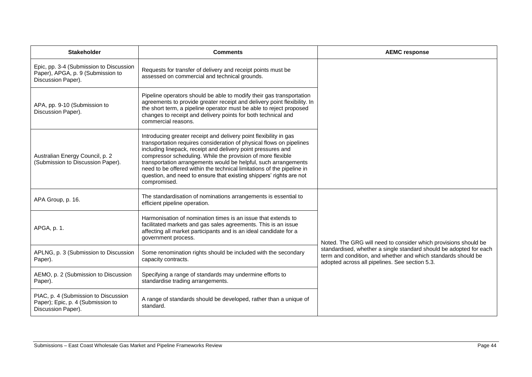| <b>Stakeholder</b>                                                                                 | <b>Comments</b>                                                                                                                                                                                                                                                                                                                                                                                                                                                                                              | <b>AEMC response</b>                                                                                                                                                                  |
|----------------------------------------------------------------------------------------------------|--------------------------------------------------------------------------------------------------------------------------------------------------------------------------------------------------------------------------------------------------------------------------------------------------------------------------------------------------------------------------------------------------------------------------------------------------------------------------------------------------------------|---------------------------------------------------------------------------------------------------------------------------------------------------------------------------------------|
| Epic, pp. 3-4 (Submission to Discussion<br>Paper), APGA, p. 9 (Submission to<br>Discussion Paper). | Requests for transfer of delivery and receipt points must be<br>assessed on commercial and technical grounds.                                                                                                                                                                                                                                                                                                                                                                                                |                                                                                                                                                                                       |
| APA, pp. 9-10 (Submission to<br>Discussion Paper).                                                 | Pipeline operators should be able to modify their gas transportation<br>agreements to provide greater receipt and delivery point flexibility. In<br>the short term, a pipeline operator must be able to reject proposed<br>changes to receipt and delivery points for both technical and<br>commercial reasons.                                                                                                                                                                                              |                                                                                                                                                                                       |
| Australian Energy Council, p. 2<br>(Submission to Discussion Paper).                               | Introducing greater receipt and delivery point flexibility in gas<br>transportation requires consideration of physical flows on pipelines<br>including linepack, receipt and delivery point pressures and<br>compressor scheduling. While the provision of more flexible<br>transportation arrangements would be helpful, such arrangements<br>need to be offered within the technical limitations of the pipeline in<br>question, and need to ensure that existing shippers' rights are not<br>compromised. |                                                                                                                                                                                       |
| APA Group, p. 16.                                                                                  | The standardisation of nominations arrangements is essential to<br>efficient pipeline operation.                                                                                                                                                                                                                                                                                                                                                                                                             |                                                                                                                                                                                       |
| APGA, p. 1.                                                                                        | Harmonisation of nomination times is an issue that extends to<br>facilitated markets and gas sales agreements. This is an issue<br>affecting all market participants and is an ideal candidate for a<br>government process.                                                                                                                                                                                                                                                                                  | Noted. The GRG will need to consider which provisions should be                                                                                                                       |
| APLNG, p. 3 (Submission to Discussion<br>Paper).                                                   | Some renomination rights should be included with the secondary<br>capacity contracts.                                                                                                                                                                                                                                                                                                                                                                                                                        | standardised, whether a single standard should be adopted for each<br>term and condition, and whether and which standards should be<br>adopted across all pipelines. See section 5.3. |
| AEMO, p. 2 (Submission to Discussion<br>Paper).                                                    | Specifying a range of standards may undermine efforts to<br>standardise trading arrangements.                                                                                                                                                                                                                                                                                                                                                                                                                |                                                                                                                                                                                       |
| PIAC, p. 4 (Submission to Discussion<br>Paper); Epic, p. 4 (Submission to<br>Discussion Paper).    | A range of standards should be developed, rather than a unique of<br>standard.                                                                                                                                                                                                                                                                                                                                                                                                                               |                                                                                                                                                                                       |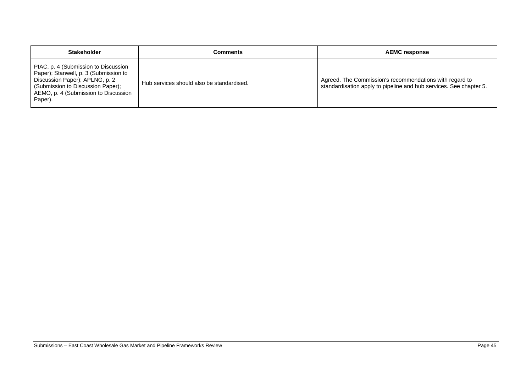| <b>Stakeholder</b>                                                                                                                                                                                      | Comments                                  | <b>AEMC response</b>                                                                                                          |
|---------------------------------------------------------------------------------------------------------------------------------------------------------------------------------------------------------|-------------------------------------------|-------------------------------------------------------------------------------------------------------------------------------|
| PIAC, p. 4 (Submission to Discussion<br>Paper); Stanwell, p. 3 (Submission to<br>Discussion Paper); APLNG, p. 2<br>(Submission to Discussion Paper);<br>AEMO, p. 4 (Submission to Discussion<br>Paper). | Hub services should also be standardised. | Agreed. The Commission's recommendations with regard to<br>standardisation apply to pipeline and hub services. See chapter 5. |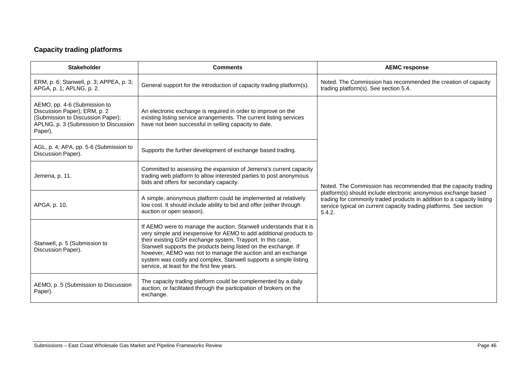# **Capacity trading platforms**

| <b>Stakeholder</b>                                                                                                                                    | <b>Comments</b>                                                                                                                                                                                                                                                                                                                                                                                                                                               | <b>AEMC response</b>                                                                                                                                                                                                                                                                        |
|-------------------------------------------------------------------------------------------------------------------------------------------------------|---------------------------------------------------------------------------------------------------------------------------------------------------------------------------------------------------------------------------------------------------------------------------------------------------------------------------------------------------------------------------------------------------------------------------------------------------------------|---------------------------------------------------------------------------------------------------------------------------------------------------------------------------------------------------------------------------------------------------------------------------------------------|
| ERM, p. 6; Stanwell, p. 3; APPEA, p. 3;<br>APGA, p. 1; APLNG, p. 2.                                                                                   | General support for the introduction of capacity trading platform(s).                                                                                                                                                                                                                                                                                                                                                                                         | Noted. The Commission has recommended the creation of capacity<br>trading platform(s). See section 5.4.                                                                                                                                                                                     |
| AEMO, pp. 4-6 (Submission to<br>Discussion Paper); ERM, p. 2<br>(Submission to Discussion Paper);<br>APLNG, p. 3 (Submission to Discussion<br>Paper). | An electronic exchange is required in order to improve on the<br>existing listing service arrangements. The current listing services<br>have not been successful in selling capacity to date.                                                                                                                                                                                                                                                                 | Noted. The Commission has recommended that the capacity trading<br>platform(s) should include electronic anonymous exchange based<br>trading for commonly traded products in addition to a capacity listing<br>service typical on current capacity trading platforms. See section<br>5.4.2. |
| AGL, p. 4; APA, pp. 5-6 (Submission to<br>Discussion Paper).                                                                                          | Supports the further development of exchange based trading.                                                                                                                                                                                                                                                                                                                                                                                                   |                                                                                                                                                                                                                                                                                             |
| Jemena, p. 11.                                                                                                                                        | Committed to assessing the expansion of Jemena's current capacity<br>trading web platform to allow interested parties to post anonymous<br>bids and offers for secondary capacity.                                                                                                                                                                                                                                                                            |                                                                                                                                                                                                                                                                                             |
| APGA, p. 10.                                                                                                                                          | A simple, anonymous platform could be implemented at relatively<br>low cost. It should include ability to bid and offer (either through<br>auction or open season).                                                                                                                                                                                                                                                                                           |                                                                                                                                                                                                                                                                                             |
| Stanwell, p. 5 (Submission to<br>Discussion Paper).                                                                                                   | If AEMO were to manage the auction, Stanwell understands that it is<br>very simple and inexpensive for AEMO to add additional products to<br>their existing GSH exchange system, Trayport. In this case,<br>Stanwell supports the products being listed on the exchange. If<br>however, AEMO was not to manage the auction and an exchange<br>system was costly and complex, Stanwell supports a simple listing<br>service, at least for the first few years. |                                                                                                                                                                                                                                                                                             |
| AEMO, p. 5 (Submission to Discussion<br>Paper).                                                                                                       | The capacity trading platform could be complemented by a daily<br>auction, or facilitated through the participation of brokers on the<br>exchange.                                                                                                                                                                                                                                                                                                            |                                                                                                                                                                                                                                                                                             |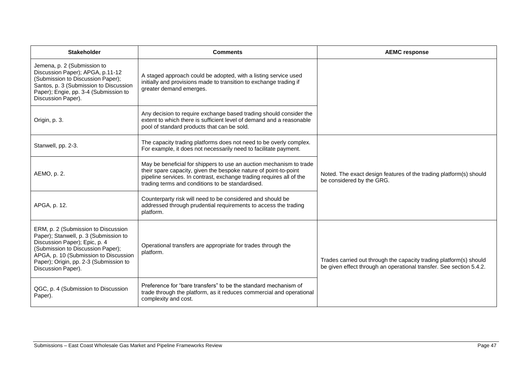| <b>Stakeholder</b>                                                                                                                                                                                                                                          | <b>Comments</b>                                                                                                                                                                                                                                                     | <b>AEMC response</b>                                                                                                                      |
|-------------------------------------------------------------------------------------------------------------------------------------------------------------------------------------------------------------------------------------------------------------|---------------------------------------------------------------------------------------------------------------------------------------------------------------------------------------------------------------------------------------------------------------------|-------------------------------------------------------------------------------------------------------------------------------------------|
| Jemena, p. 2 (Submission to<br>Discussion Paper); APGA, p.11-12<br>(Submission to Discussion Paper);<br>Santos, p. 3 (Submission to Discussion<br>Paper); Engie, pp. 3-4 (Submission to<br>Discussion Paper).                                               | A staged approach could be adopted, with a listing service used<br>initially and provisions made to transition to exchange trading if<br>greater demand emerges.                                                                                                    |                                                                                                                                           |
| Origin, p. 3.                                                                                                                                                                                                                                               | Any decision to require exchange based trading should consider the<br>extent to which there is sufficient level of demand and a reasonable<br>pool of standard products that can be sold.                                                                           |                                                                                                                                           |
| Stanwell, pp. 2-3.                                                                                                                                                                                                                                          | The capacity trading platforms does not need to be overly complex.<br>For example, it does not necessarily need to facilitate payment.                                                                                                                              |                                                                                                                                           |
| AEMO, p. 2.                                                                                                                                                                                                                                                 | May be beneficial for shippers to use an auction mechanism to trade<br>their spare capacity, given the bespoke nature of point-to-point<br>pipeline services. In contrast, exchange trading requires all of the<br>trading terms and conditions to be standardised. | Noted. The exact design features of the trading platform(s) should<br>be considered by the GRG.                                           |
| APGA, p. 12.                                                                                                                                                                                                                                                | Counterparty risk will need to be considered and should be<br>addressed through prudential requirements to access the trading<br>platform.                                                                                                                          |                                                                                                                                           |
| ERM, p. 2 (Submission to Discussion<br>Paper); Stanwell, p. 3 (Submission to<br>Discussion Paper); Epic, p. 4<br>(Submission to Discussion Paper);<br>APGA, p. 10 (Submission to Discussion<br>Paper); Origin, pp. 2-3 (Submission to<br>Discussion Paper). | Operational transfers are appropriate for trades through the<br>platform.                                                                                                                                                                                           | Trades carried out through the capacity trading platform(s) should<br>be given effect through an operational transfer. See section 5.4.2. |
| QGC, p. 4 (Submission to Discussion<br>Paper).                                                                                                                                                                                                              | Preference for "bare transfers" to be the standard mechanism of<br>trade through the platform, as it reduces commercial and operational<br>complexity and cost.                                                                                                     |                                                                                                                                           |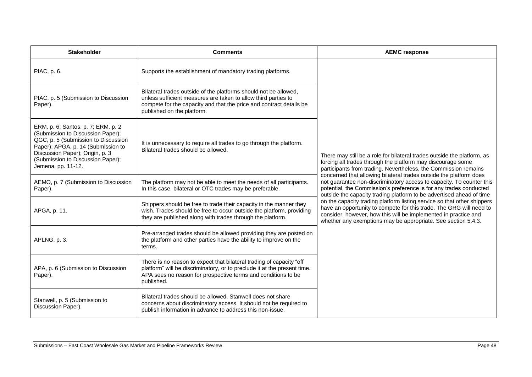| <b>Stakeholder</b>                                                                                                                                                                                                                                 | <b>Comments</b>                                                                                                                                                                                                                         | <b>AEMC response</b>                                                                                                                                                                                                                                                                                                                                                                                                                                                                                                                                                                                                                                                                                                                                                                        |
|----------------------------------------------------------------------------------------------------------------------------------------------------------------------------------------------------------------------------------------------------|-----------------------------------------------------------------------------------------------------------------------------------------------------------------------------------------------------------------------------------------|---------------------------------------------------------------------------------------------------------------------------------------------------------------------------------------------------------------------------------------------------------------------------------------------------------------------------------------------------------------------------------------------------------------------------------------------------------------------------------------------------------------------------------------------------------------------------------------------------------------------------------------------------------------------------------------------------------------------------------------------------------------------------------------------|
| PIAC, p. 6.                                                                                                                                                                                                                                        | Supports the establishment of mandatory trading platforms.                                                                                                                                                                              | There may still be a role for bilateral trades outside the platform, as<br>forcing all trades through the platform may discourage some<br>participants from trading. Nevertheless, the Commission remains<br>concerned that allowing bilateral trades outside the platform does<br>not guarantee non-discriminatory access to capacity. To counter this<br>potential, the Commission's preference is for any trades conducted<br>outside the capacity trading platform to be advertised ahead of time<br>on the capacity trading platform listing service so that other shippers<br>have an opportunity to compete for this trade. The GRG will need to<br>consider, however, how this will be implemented in practice and<br>whether any exemptions may be appropriate. See section 5.4.3. |
| PIAC, p. 5 (Submission to Discussion<br>Paper).                                                                                                                                                                                                    | Bilateral trades outside of the platforms should not be allowed,<br>unless sufficient measures are taken to allow third parties to<br>compete for the capacity and that the price and contract details be<br>published on the platform. |                                                                                                                                                                                                                                                                                                                                                                                                                                                                                                                                                                                                                                                                                                                                                                                             |
| ERM, p. 6; Santos, p. 7; ERM, p. 2<br>(Submission to Discussion Paper);<br>QGC, p. 5 (Submission to Discussion<br>Paper); APGA, p. 14 (Submission to<br>Discussion Paper); Origin, p. 3<br>(Submission to Discussion Paper);<br>Jemena, pp. 11-12. | It is unnecessary to require all trades to go through the platform.<br>Bilateral trades should be allowed.                                                                                                                              |                                                                                                                                                                                                                                                                                                                                                                                                                                                                                                                                                                                                                                                                                                                                                                                             |
| AEMO, p. 7 (Submission to Discussion<br>Paper).                                                                                                                                                                                                    | The platform may not be able to meet the needs of all participants.<br>In this case, bilateral or OTC trades may be preferable.                                                                                                         |                                                                                                                                                                                                                                                                                                                                                                                                                                                                                                                                                                                                                                                                                                                                                                                             |
| APGA, p. 11.                                                                                                                                                                                                                                       | Shippers should be free to trade their capacity in the manner they<br>wish. Trades should be free to occur outside the platform, providing<br>they are published along with trades through the platform.                                |                                                                                                                                                                                                                                                                                                                                                                                                                                                                                                                                                                                                                                                                                                                                                                                             |
| APLNG, p. 3.                                                                                                                                                                                                                                       | Pre-arranged trades should be allowed providing they are posted on<br>the platform and other parties have the ability to improve on the<br>terms.                                                                                       |                                                                                                                                                                                                                                                                                                                                                                                                                                                                                                                                                                                                                                                                                                                                                                                             |
| APA, p. 6 (Submission to Discussion<br>Paper).                                                                                                                                                                                                     | There is no reason to expect that bilateral trading of capacity "off<br>platform" will be discriminatory, or to preclude it at the present time.<br>APA sees no reason for prospective terms and conditions to be<br>published.         |                                                                                                                                                                                                                                                                                                                                                                                                                                                                                                                                                                                                                                                                                                                                                                                             |
| Stanwell, p. 5 (Submission to<br>Discussion Paper).                                                                                                                                                                                                | Bilateral trades should be allowed. Stanwell does not share<br>concerns about discriminatory access. It should not be required to<br>publish information in advance to address this non-issue.                                          |                                                                                                                                                                                                                                                                                                                                                                                                                                                                                                                                                                                                                                                                                                                                                                                             |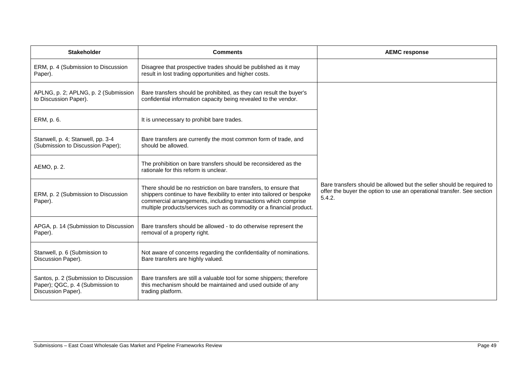| <b>Stakeholder</b>                                                                               | <b>Comments</b>                                                                                                                                                                                                                                                                       | <b>AEMC response</b>                                                                                                                                      |
|--------------------------------------------------------------------------------------------------|---------------------------------------------------------------------------------------------------------------------------------------------------------------------------------------------------------------------------------------------------------------------------------------|-----------------------------------------------------------------------------------------------------------------------------------------------------------|
| ERM, p. 4 (Submission to Discussion<br>Paper).                                                   | Disagree that prospective trades should be published as it may<br>result in lost trading opportunities and higher costs.                                                                                                                                                              |                                                                                                                                                           |
| APLNG, p. 2; APLNG, p. 2 (Submission<br>to Discussion Paper).                                    | Bare transfers should be prohibited, as they can result the buyer's<br>confidential information capacity being revealed to the vendor.                                                                                                                                                |                                                                                                                                                           |
| ERM, p. 6.                                                                                       | It is unnecessary to prohibit bare trades.                                                                                                                                                                                                                                            |                                                                                                                                                           |
| Stanwell, p. 4; Stanwell, pp. 3-4<br>(Submission to Discussion Paper);                           | Bare transfers are currently the most common form of trade, and<br>should be allowed.                                                                                                                                                                                                 |                                                                                                                                                           |
| AEMO, p. 2.                                                                                      | The prohibition on bare transfers should be reconsidered as the<br>rationale for this reform is unclear.                                                                                                                                                                              |                                                                                                                                                           |
| ERM, p. 2 (Submission to Discussion<br>Paper).                                                   | There should be no restriction on bare transfers, to ensure that<br>shippers continue to have flexibility to enter into tailored or bespoke<br>commercial arrangements, including transactions which comprise<br>multiple products/services such as commodity or a financial product. | Bare transfers should be allowed but the seller should be required to<br>offer the buyer the option to use an operational transfer. See section<br>5.4.2. |
| APGA, p. 14 (Submission to Discussion<br>Paper).                                                 | Bare transfers should be allowed - to do otherwise represent the<br>removal of a property right.                                                                                                                                                                                      |                                                                                                                                                           |
| Stanwell, p. 6 (Submission to<br>Discussion Paper).                                              | Not aware of concerns regarding the confidentiality of nominations.<br>Bare transfers are highly valued.                                                                                                                                                                              |                                                                                                                                                           |
| Santos, p. 2 (Submission to Discussion<br>Paper); QGC, p. 4 (Submission to<br>Discussion Paper). | Bare transfers are still a valuable tool for some shippers; therefore<br>this mechanism should be maintained and used outside of any<br>trading platform.                                                                                                                             |                                                                                                                                                           |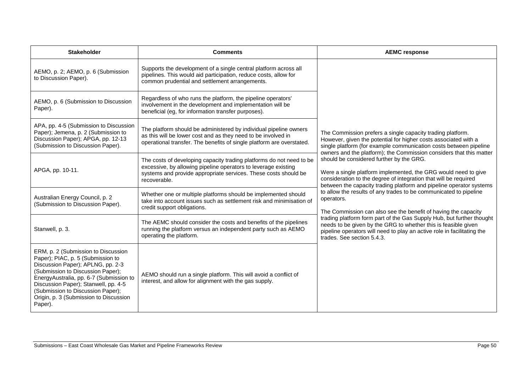| <b>Stakeholder</b>                                                                                                                                                                                                                                                                                                              | <b>Comments</b>                                                                                                                                                                                                           | <b>AEMC response</b>                                                                                                                                                                                                                                                                                                                                                                                                                                                                                                                                                                                                                                                                                                                                                                                                                                                                                                                        |
|---------------------------------------------------------------------------------------------------------------------------------------------------------------------------------------------------------------------------------------------------------------------------------------------------------------------------------|---------------------------------------------------------------------------------------------------------------------------------------------------------------------------------------------------------------------------|---------------------------------------------------------------------------------------------------------------------------------------------------------------------------------------------------------------------------------------------------------------------------------------------------------------------------------------------------------------------------------------------------------------------------------------------------------------------------------------------------------------------------------------------------------------------------------------------------------------------------------------------------------------------------------------------------------------------------------------------------------------------------------------------------------------------------------------------------------------------------------------------------------------------------------------------|
| AEMO, p. 2; AEMO, p. 6 (Submission<br>to Discussion Paper).                                                                                                                                                                                                                                                                     | Supports the development of a single central platform across all<br>pipelines. This would aid participation, reduce costs, allow for<br>common prudential and settlement arrangements.                                    | The Commission prefers a single capacity trading platform.<br>However, given the potential for higher costs associated with a<br>single platform (for example communication costs between pipeline<br>owners and the platform); the Commission considers that this matter<br>should be considered further by the GRG.<br>Were a single platform implemented, the GRG would need to give<br>consideration to the degree of integration that will be required<br>between the capacity trading platform and pipeline operator systems<br>to allow the results of any trades to be communicated to pipeline<br>operators.<br>The Commission can also see the benefit of having the capacity<br>trading platform form part of the Gas Supply Hub, but further thought<br>needs to be given by the GRG to whether this is feasible given<br>pipeline operators will need to play an active role in facilitating the<br>trades. See section 5.4.3. |
| AEMO, p. 6 (Submission to Discussion<br>Paper).                                                                                                                                                                                                                                                                                 | Regardless of who runs the platform, the pipeline operators'<br>involvement in the development and implementation will be<br>beneficial (eg, for information transfer purposes).                                          |                                                                                                                                                                                                                                                                                                                                                                                                                                                                                                                                                                                                                                                                                                                                                                                                                                                                                                                                             |
| APA, pp. 4-5 (Submission to Discussion<br>Paper); Jemena, p. 2 (Submission to<br>Discussion Paper); APGA, pp. 12-13<br>(Submission to Discussion Paper).                                                                                                                                                                        | The platform should be administered by individual pipeline owners<br>as this will be lower cost and as they need to be involved in<br>operational transfer. The benefits of single platform are overstated.               |                                                                                                                                                                                                                                                                                                                                                                                                                                                                                                                                                                                                                                                                                                                                                                                                                                                                                                                                             |
| APGA, pp. 10-11.                                                                                                                                                                                                                                                                                                                | The costs of developing capacity trading platforms do not need to be<br>excessive, by allowing pipeline operators to leverage existing<br>systems and provide appropriate services. These costs should be<br>recoverable. |                                                                                                                                                                                                                                                                                                                                                                                                                                                                                                                                                                                                                                                                                                                                                                                                                                                                                                                                             |
| Australian Energy Council, p. 2<br>(Submission to Discussion Paper).                                                                                                                                                                                                                                                            | Whether one or multiple platforms should be implemented should<br>take into account issues such as settlement risk and minimisation of<br>credit support obligations.                                                     |                                                                                                                                                                                                                                                                                                                                                                                                                                                                                                                                                                                                                                                                                                                                                                                                                                                                                                                                             |
| Stanwell, p. 3.                                                                                                                                                                                                                                                                                                                 | The AEMC should consider the costs and benefits of the pipelines<br>running the platform versus an independent party such as AEMO<br>operating the platform.                                                              |                                                                                                                                                                                                                                                                                                                                                                                                                                                                                                                                                                                                                                                                                                                                                                                                                                                                                                                                             |
| ERM, p. 2 (Submission to Discussion<br>Paper); PIAC, p. 5 (Submission to<br>Discussion Paper); APLNG, pp. 2-3<br>(Submission to Discussion Paper);<br>EnergyAustralia, pp. 6-7 (Submission to<br>Discussion Paper); Stanwell, pp. 4-5<br>(Submission to Discussion Paper);<br>Origin, p. 3 (Submission to Discussion<br>Paper). | AEMO should run a single platform. This will avoid a conflict of<br>interest, and allow for alignment with the gas supply.                                                                                                |                                                                                                                                                                                                                                                                                                                                                                                                                                                                                                                                                                                                                                                                                                                                                                                                                                                                                                                                             |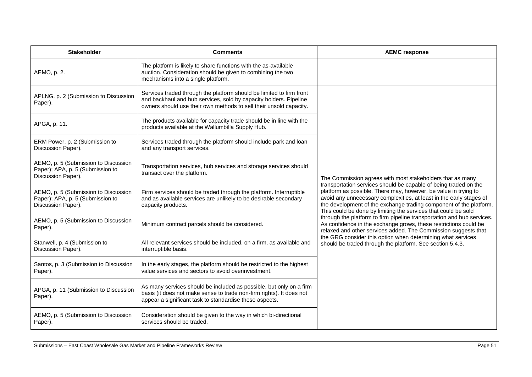| <b>Stakeholder</b>                                                                             | <b>Comments</b>                                                                                                                                                                                                 | <b>AEMC response</b>                                                                                                                                                                                                                                                                                                                                                                                                                                                                                                                                                                                                                                                                                                                                        |
|------------------------------------------------------------------------------------------------|-----------------------------------------------------------------------------------------------------------------------------------------------------------------------------------------------------------------|-------------------------------------------------------------------------------------------------------------------------------------------------------------------------------------------------------------------------------------------------------------------------------------------------------------------------------------------------------------------------------------------------------------------------------------------------------------------------------------------------------------------------------------------------------------------------------------------------------------------------------------------------------------------------------------------------------------------------------------------------------------|
| AEMO, p. 2.                                                                                    | The platform is likely to share functions with the as-available<br>auction. Consideration should be given to combining the two<br>mechanisms into a single platform.                                            |                                                                                                                                                                                                                                                                                                                                                                                                                                                                                                                                                                                                                                                                                                                                                             |
| APLNG, p. 2 (Submission to Discussion<br>Paper).                                               | Services traded through the platform should be limited to firm front<br>and backhaul and hub services, sold by capacity holders. Pipeline<br>owners should use their own methods to sell their unsold capacity. | The Commission agrees with most stakeholders that as many<br>transportation services should be capable of being traded on the<br>platform as possible. There may, however, be value in trying to<br>avoid any unnecessary complexities, at least in the early stages of<br>the development of the exchange trading component of the platform.<br>This could be done by limiting the services that could be sold<br>through the platform to firm pipeline transportation and hub services.<br>As confidence in the exchange grows, these restrictions could be<br>relaxed and other services added. The Commission suggests that<br>the GRG consider this option when determining what services<br>should be traded through the platform. See section 5.4.3. |
| APGA, p. 11.                                                                                   | The products available for capacity trade should be in line with the<br>products available at the Wallumbilla Supply Hub.                                                                                       |                                                                                                                                                                                                                                                                                                                                                                                                                                                                                                                                                                                                                                                                                                                                                             |
| ERM Power, p. 2 (Submission to<br>Discussion Paper).                                           | Services traded through the platform should include park and loan<br>and any transport services.                                                                                                                |                                                                                                                                                                                                                                                                                                                                                                                                                                                                                                                                                                                                                                                                                                                                                             |
| AEMO, p. 5 (Submission to Discussion<br>Paper); APA, p. 5 (Submission to<br>Discussion Paper). | Transportation services, hub services and storage services should<br>transact over the platform.                                                                                                                |                                                                                                                                                                                                                                                                                                                                                                                                                                                                                                                                                                                                                                                                                                                                                             |
| AEMO, p. 5 (Submission to Discussion<br>Paper); APA, p. 5 (Submission to<br>Discussion Paper). | Firm services should be traded through the platform. Interruptible<br>and as available services are unlikely to be desirable secondary<br>capacity products.                                                    |                                                                                                                                                                                                                                                                                                                                                                                                                                                                                                                                                                                                                                                                                                                                                             |
| AEMO, p. 5 (Submission to Discussion<br>Paper).                                                | Minimum contract parcels should be considered.                                                                                                                                                                  |                                                                                                                                                                                                                                                                                                                                                                                                                                                                                                                                                                                                                                                                                                                                                             |
| Stanwell, p. 4 (Submission to<br>Discussion Paper).                                            | All relevant services should be included, on a firm, as available and<br>interruptible basis.                                                                                                                   |                                                                                                                                                                                                                                                                                                                                                                                                                                                                                                                                                                                                                                                                                                                                                             |
| Santos, p. 3 (Submission to Discussion<br>Paper).                                              | In the early stages, the platform should be restricted to the highest<br>value services and sectors to avoid overinvestment.                                                                                    |                                                                                                                                                                                                                                                                                                                                                                                                                                                                                                                                                                                                                                                                                                                                                             |
| APGA, p. 11 (Submission to Discussion<br>Paper).                                               | As many services should be included as possible, but only on a firm<br>basis (it does not make sense to trade non-firm rights). It does not<br>appear a significant task to standardise these aspects.          |                                                                                                                                                                                                                                                                                                                                                                                                                                                                                                                                                                                                                                                                                                                                                             |
| AEMO, p. 5 (Submission to Discussion<br>Paper).                                                | Consideration should be given to the way in which bi-directional<br>services should be traded.                                                                                                                  |                                                                                                                                                                                                                                                                                                                                                                                                                                                                                                                                                                                                                                                                                                                                                             |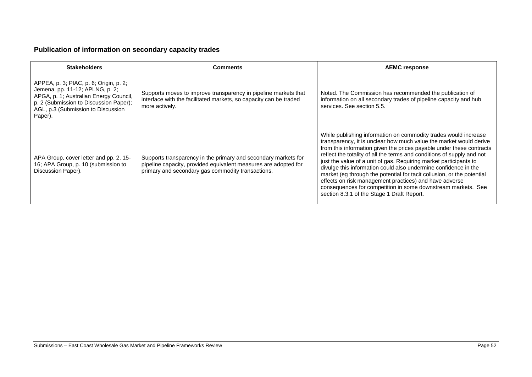## **Publication of information on secondary capacity trades**

| <b>Stakeholders</b>                                                                                                                                                                                            | <b>Comments</b>                                                                                                                                                                        | <b>AEMC response</b>                                                                                                                                                                                                                                                                                                                                                                                                                                                                                                                                                                                                                                                              |
|----------------------------------------------------------------------------------------------------------------------------------------------------------------------------------------------------------------|----------------------------------------------------------------------------------------------------------------------------------------------------------------------------------------|-----------------------------------------------------------------------------------------------------------------------------------------------------------------------------------------------------------------------------------------------------------------------------------------------------------------------------------------------------------------------------------------------------------------------------------------------------------------------------------------------------------------------------------------------------------------------------------------------------------------------------------------------------------------------------------|
| APPEA, p. 3; PIAC, p. 6; Origin, p. 2;<br>Jemena, pp. 11-12; APLNG, p. 2;<br>APGA, p. 1; Australian Energy Council,<br>p. 2 (Submission to Discussion Paper);<br>AGL, p.3 (Submission to Discussion<br>Paper). | Supports moves to improve transparency in pipeline markets that<br>interface with the facilitated markets, so capacity can be traded<br>more actively.                                 | Noted. The Commission has recommended the publication of<br>information on all secondary trades of pipeline capacity and hub<br>services. See section 5.5.                                                                                                                                                                                                                                                                                                                                                                                                                                                                                                                        |
| APA Group, cover letter and pp. 2, 15-<br>16; APA Group, p. 10 (submission to<br>Discussion Paper).                                                                                                            | Supports transparency in the primary and secondary markets for<br>pipeline capacity, provided equivalent measures are adopted for<br>primary and secondary gas commodity transactions. | While publishing information on commodity trades would increase<br>transparency, it is unclear how much value the market would derive<br>from this information given the prices payable under these contracts<br>reflect the totality of all the terms and conditions of supply and not<br>just the value of a unit of gas. Requiring market participants to<br>divulge this information could also undermine confidence in the<br>market (eg through the potential for tacit collusion, or the potential<br>effects on risk management practices) and have adverse<br>consequences for competition in some downstream markets. See<br>section 8.3.1 of the Stage 1 Draft Report. |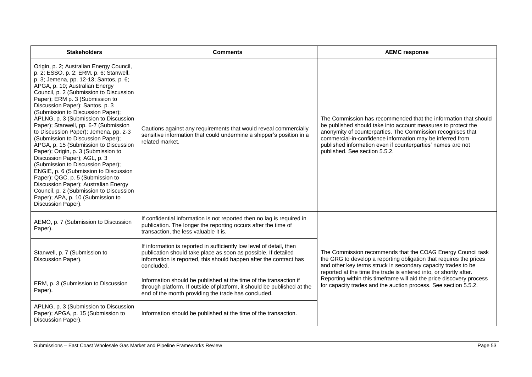| <b>Stakeholders</b>                                                                                                                                                                                                                                                                                                                                                                                                                                                                                                                                                                                                                                                                                                                                                                                                                                                  | <b>Comments</b>                                                                                                                                                                                                            | <b>AEMC response</b>                                                                                                                                                                                                                                                                                                                                                                                               |
|----------------------------------------------------------------------------------------------------------------------------------------------------------------------------------------------------------------------------------------------------------------------------------------------------------------------------------------------------------------------------------------------------------------------------------------------------------------------------------------------------------------------------------------------------------------------------------------------------------------------------------------------------------------------------------------------------------------------------------------------------------------------------------------------------------------------------------------------------------------------|----------------------------------------------------------------------------------------------------------------------------------------------------------------------------------------------------------------------------|--------------------------------------------------------------------------------------------------------------------------------------------------------------------------------------------------------------------------------------------------------------------------------------------------------------------------------------------------------------------------------------------------------------------|
| Origin, p. 2; Australian Energy Council,<br>p. 2; ESSO, p. 2; ERM, p. 6; Stanwell,<br>p. 3; Jemena, pp. 12-13; Santos, p. 6;<br>APGA, p. 10; Australian Energy<br>Council, p. 2 (Submission to Discussion<br>Paper); ERM p. 3 (Submission to<br>Discussion Paper); Santos, p. 3<br>(Submission to Discussion Paper);<br>APLNG, p. 3 (Submission to Discussion<br>Paper); Stanwell, pp. 6-7 (Submission<br>to Discussion Paper); Jemena, pp. 2-3<br>(Submission to Discussion Paper);<br>APGA, p. 15 (Submission to Discussion<br>Paper); Origin, p. 3 (Submission to<br>Discussion Paper); AGL, p. 3<br>(Submission to Discussion Paper);<br>ENGIE, p. 6 (Submission to Discussion<br>Paper); QGC, p. 5 (Submission to<br>Discussion Paper); Australian Energy<br>Council, p. 2 (Submission to Discussion<br>Paper); APA, p. 10 (Submission to<br>Discussion Paper). | Cautions against any requirements that would reveal commercially<br>sensitive information that could undermine a shipper's position in a<br>related market.                                                                | The Commission has recommended that the information that should<br>be published should take into account measures to protect the<br>anonymity of counterparties. The Commission recognises that<br>commercial-in-confidence information may be inferred from<br>published information even if counterparties' names are not<br>published. See section 5.5.2.                                                       |
| AEMO, p. 7 (Submission to Discussion<br>Paper).                                                                                                                                                                                                                                                                                                                                                                                                                                                                                                                                                                                                                                                                                                                                                                                                                      | If confidential information is not reported then no lag is required in<br>publication. The longer the reporting occurs after the time of<br>transaction, the less valuable it is.                                          |                                                                                                                                                                                                                                                                                                                                                                                                                    |
| Stanwell, p. 7 (Submission to<br>Discussion Paper).                                                                                                                                                                                                                                                                                                                                                                                                                                                                                                                                                                                                                                                                                                                                                                                                                  | If information is reported in sufficiently low level of detail, then<br>publication should take place as soon as possible. If detailed<br>information is reported, this should happen after the contract has<br>concluded. | The Commission recommends that the COAG Energy Council task<br>the GRG to develop a reporting obligation that requires the prices<br>and other key terms struck in secondary capacity trades to be<br>reported at the time the trade is entered into, or shortly after.<br>Reporting within this timeframe will aid the price discovery process<br>for capacity trades and the auction process. See section 5.5.2. |
| ERM, p. 3 (Submission to Discussion<br>Paper).                                                                                                                                                                                                                                                                                                                                                                                                                                                                                                                                                                                                                                                                                                                                                                                                                       | Information should be published at the time of the transaction if<br>through platform. If outside of platform, it should be published at the<br>end of the month providing the trade has concluded.                        |                                                                                                                                                                                                                                                                                                                                                                                                                    |
| APLNG, p. 3 (Submission to Discussion<br>Paper); APGA, p. 15 (Submission to<br>Discussion Paper).                                                                                                                                                                                                                                                                                                                                                                                                                                                                                                                                                                                                                                                                                                                                                                    | Information should be published at the time of the transaction.                                                                                                                                                            |                                                                                                                                                                                                                                                                                                                                                                                                                    |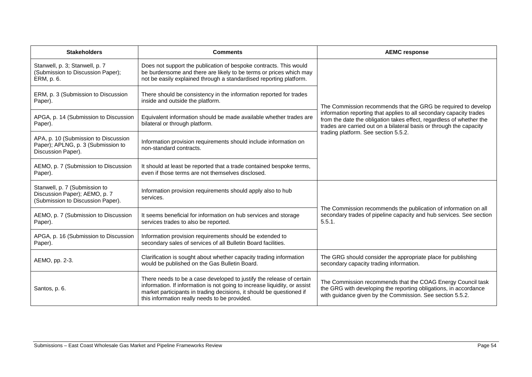| <b>Stakeholders</b>                                                                                 | <b>Comments</b>                                                                                                                                                                                                                                                            | <b>AEMC response</b>                                                                                                                                                                                                                                                                                                        |
|-----------------------------------------------------------------------------------------------------|----------------------------------------------------------------------------------------------------------------------------------------------------------------------------------------------------------------------------------------------------------------------------|-----------------------------------------------------------------------------------------------------------------------------------------------------------------------------------------------------------------------------------------------------------------------------------------------------------------------------|
| Stanwell, p. 3; Stanwell, p. 7<br>(Submission to Discussion Paper);<br>ERM, p. 6.                   | Does not support the publication of bespoke contracts. This would<br>be burdensome and there are likely to be terms or prices which may<br>not be easily explained through a standardised reporting platform.                                                              | The Commission recommends that the GRG be required to develop<br>information reporting that applies to all secondary capacity trades<br>from the date the obligation takes effect, regardless of whether the<br>trades are carried out on a bilateral basis or through the capacity<br>trading platform. See section 5.5.2. |
| ERM, p. 3 (Submission to Discussion<br>Paper).                                                      | There should be consistency in the information reported for trades<br>inside and outside the platform.                                                                                                                                                                     |                                                                                                                                                                                                                                                                                                                             |
| APGA, p. 14 (Submission to Discussion<br>Paper).                                                    | Equivalent information should be made available whether trades are<br>bilateral or through platform.                                                                                                                                                                       |                                                                                                                                                                                                                                                                                                                             |
| APA, p. 10 (Submission to Discussion<br>Paper); APLNG, p. 3 (Submission to<br>Discussion Paper).    | Information provision requirements should include information on<br>non-standard contracts.                                                                                                                                                                                |                                                                                                                                                                                                                                                                                                                             |
| AEMO, p. 7 (Submission to Discussion<br>Paper).                                                     | It should at least be reported that a trade contained bespoke terms,<br>even if those terms are not themselves disclosed.                                                                                                                                                  |                                                                                                                                                                                                                                                                                                                             |
| Stanwell, p. 7 (Submission to<br>Discussion Paper); AEMO, p. 7<br>(Submission to Discussion Paper). | Information provision requirements should apply also to hub<br>services.                                                                                                                                                                                                   | The Commission recommends the publication of information on all<br>secondary trades of pipeline capacity and hub services. See section<br>5.5.1.                                                                                                                                                                            |
| AEMO, p. 7 (Submission to Discussion<br>Paper).                                                     | It seems beneficial for information on hub services and storage<br>services trades to also be reported.                                                                                                                                                                    |                                                                                                                                                                                                                                                                                                                             |
| APGA, p. 16 (Submission to Discussion<br>Paper).                                                    | Information provision requirements should be extended to<br>secondary sales of services of all Bulletin Board facilities.                                                                                                                                                  |                                                                                                                                                                                                                                                                                                                             |
| AEMO, pp. 2-3.                                                                                      | Clarification is sought about whether capacity trading information<br>would be published on the Gas Bulletin Board.                                                                                                                                                        | The GRG should consider the appropriate place for publishing<br>secondary capacity trading information.                                                                                                                                                                                                                     |
| Santos, p. 6.                                                                                       | There needs to be a case developed to justify the release of certain<br>information. If information is not going to increase liquidity, or assist<br>market participants in trading decisions, it should be questioned if<br>this information really needs to be provided. | The Commission recommends that the COAG Energy Council task<br>the GRG with developing the reporting obligations, in accordance<br>with guidance given by the Commission. See section 5.5.2.                                                                                                                                |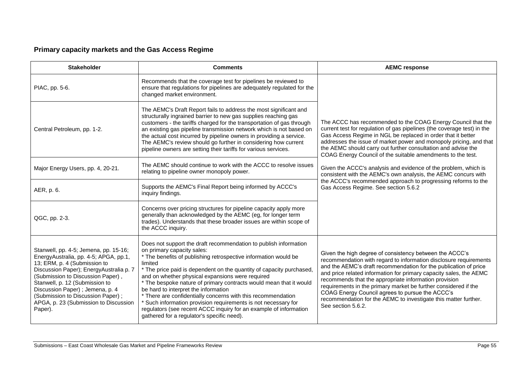### **Primary capacity markets and the Gas Access Regime**

| <b>Stakeholder</b>                                                                                                                                                                                                                                                                                                                                            | <b>Comments</b>                                                                                                                                                                                                                                                                                                                                                                                                                                                                                                                                                                                                                                                             | <b>AEMC response</b>                                                                                                                                                                                                                                                                                                                                                                                                                                                                                                                                                                                                                                        |
|---------------------------------------------------------------------------------------------------------------------------------------------------------------------------------------------------------------------------------------------------------------------------------------------------------------------------------------------------------------|-----------------------------------------------------------------------------------------------------------------------------------------------------------------------------------------------------------------------------------------------------------------------------------------------------------------------------------------------------------------------------------------------------------------------------------------------------------------------------------------------------------------------------------------------------------------------------------------------------------------------------------------------------------------------------|-------------------------------------------------------------------------------------------------------------------------------------------------------------------------------------------------------------------------------------------------------------------------------------------------------------------------------------------------------------------------------------------------------------------------------------------------------------------------------------------------------------------------------------------------------------------------------------------------------------------------------------------------------------|
| PIAC, pp. 5-6.                                                                                                                                                                                                                                                                                                                                                | Recommends that the coverage test for pipelines be reviewed to<br>ensure that regulations for pipelines are adequately regulated for the<br>changed market environment.                                                                                                                                                                                                                                                                                                                                                                                                                                                                                                     | The ACCC has recommended to the COAG Energy Council that the<br>current test for regulation of gas pipelines (the coverage test) in the<br>Gas Access Regime in NGL be replaced in order that it better<br>addresses the issue of market power and monopoly pricing, and that<br>the AEMC should carry out further consultation and advise the<br>COAG Energy Council of the suitable amendments to the test.<br>Given the ACCC's analysis and evidence of the problem, which is<br>consistent with the AEMC's own analysis, the AEMC concurs with<br>the ACCC's recommended approach to progressing reforms to the<br>Gas Access Regime. See section 5.6.2 |
| Central Petroleum, pp. 1-2.                                                                                                                                                                                                                                                                                                                                   | The AEMC's Draft Report fails to address the most significant and<br>structurally ingrained barrier to new gas supplies reaching gas<br>customers - the tariffs charged for the transportation of gas through<br>an existing gas pipeline transmission network which is not based on<br>the actual cost incurred by pipeline owners in providing a service.<br>The AEMC's review should go further in considering how current<br>pipeline owners are setting their tariffs for various services.                                                                                                                                                                            |                                                                                                                                                                                                                                                                                                                                                                                                                                                                                                                                                                                                                                                             |
| Major Energy Users, pp. 4, 20-21.                                                                                                                                                                                                                                                                                                                             | The AEMC should continue to work with the ACCC to resolve issues<br>relating to pipeline owner monopoly power.                                                                                                                                                                                                                                                                                                                                                                                                                                                                                                                                                              |                                                                                                                                                                                                                                                                                                                                                                                                                                                                                                                                                                                                                                                             |
| AER, p. 6.                                                                                                                                                                                                                                                                                                                                                    | Supports the AEMC's Final Report being informed by ACCC's<br>inguiry findings.                                                                                                                                                                                                                                                                                                                                                                                                                                                                                                                                                                                              |                                                                                                                                                                                                                                                                                                                                                                                                                                                                                                                                                                                                                                                             |
| QGC, pp. 2-3.                                                                                                                                                                                                                                                                                                                                                 | Concerns over pricing structures for pipeline capacity apply more<br>generally than acknowledged by the AEMC (eg, for longer term<br>trades). Understands that these broader issues are within scope of<br>the ACCC inquiry.                                                                                                                                                                                                                                                                                                                                                                                                                                                |                                                                                                                                                                                                                                                                                                                                                                                                                                                                                                                                                                                                                                                             |
| Stanwell, pp. 4-5; Jemena, pp. 15-16;<br>EnergyAustralia, pp. 4-5; APGA, pp.1,<br>13; ERM, p. 4 (Submission to<br>Discussion Paper); EnergyAustralia p. 7<br>(Submission to Discussion Paper),<br>Stanwell, p. 12 (Submission to<br>Discussion Paper) ; Jemena, p. 4<br>(Submission to Discussion Paper);<br>APGA, p. 23 (Submission to Discussion<br>Paper). | Does not support the draft recommendation to publish information<br>on primary capacity sales:<br>* The benefits of publishing retrospective information would be<br>limited<br>* The price paid is dependent on the quantity of capacity purchased,<br>and on whether physical expansions were required<br>* The bespoke nature of primary contracts would mean that it would<br>be hard to interpret the information<br>* There are confidentially concerns with this recommendation<br>* Such information provision requirements is not necessary for<br>regulators (see recent ACCC inquiry for an example of information<br>gathered for a regulator's specific need). | Given the high degree of consistency between the ACCC's<br>recommendation with regard to information disclosure requirements<br>and the AEMC's draft recommendation for the publication of price<br>and price related information for primary capacity sales, the AEMC<br>recommends that the appropriate information provision<br>requirements in the primary market be further considered if the<br>COAG Energy Council agrees to pursue the ACCC's<br>recommendation for the AEMC to investigate this matter further.<br>See section 5.6.2.                                                                                                              |